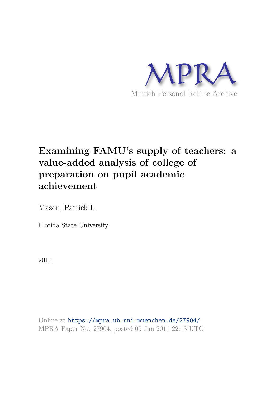

# **Examining FAMU's supply of teachers: a value-added analysis of college of preparation on pupil academic achievement**

Mason, Patrick L.

Florida State University

2010

Online at https://mpra.ub.uni-muenchen.de/27904/ MPRA Paper No. 27904, posted 09 Jan 2011 22:13 UTC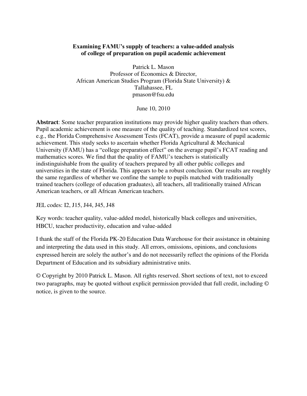# **Examining FAMU's supply of teachers: a value-added analysis of college of preparation on pupil academic achievement**

Patrick L. Mason Professor of Economics & Director, African American Studies Program (Florida State University) & Tallahassee, FL pmason@fsu.edu

June 10, 2010

**Abstract**: Some teacher preparation institutions may provide higher quality teachers than others. Pupil academic achievement is one measure of the quality of teaching. Standardized test scores, e.g., the Florida Comprehensive Assessment Tests (FCAT), provide a measure of pupil academic achievement. This study seeks to ascertain whether Florida Agricultural & Mechanical University (FAMU) has a "college preparation effect" on the average pupil's FCAT reading and mathematics scores. We find that the quality of FAMU's teachers is statistically indistinguishable from the quality of teachers prepared by all other public colleges and universities in the state of Florida. This appears to be a robust conclusion. Our results are roughly the same regardless of whether we confine the sample to pupils matched with traditionally trained teachers (college of education graduates), all teachers, all traditionally trained African American teachers, or all African American teachers.

JEL codes: I2, J15, J44, J45, J48

Key words: teacher quality, value-added model, historically black colleges and universities, HBCU, teacher productivity, education and value-added

I thank the staff of the Florida PK-20 Education Data Warehouse for their assistance in obtaining and interpreting the data used in this study. All errors, omissions, opinions, and conclusions expressed herein are solely the author's and do not necessarily reflect the opinions of the Florida Department of Education and its subsidiary administrative units.

© Copyright by 2010 Patrick L. Mason. All rights reserved. Short sections of text, not to exceed two paragraphs, may be quoted without explicit permission provided that full credit, including © notice, is given to the source.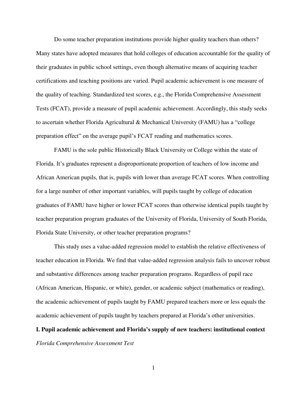Do some teacher preparation institutions provide higher quality teachers than others? Many states have adopted measures that hold colleges of education accountable for the quality of their graduates in public school settings, even though alternative means of acquiring teacher certifications and teaching positions are varied. Pupil academic achievement is one measure of the quality of teaching. Standardized test scores, e.g., the Florida Comprehensive Assessment Tests (FCAT), provide a measure of pupil academic achievement. Accordingly, this study seeks to ascertain whether Florida Agricultural & Mechanical University (FAMU) has a "college preparation effect" on the average pupil's FCAT reading and mathematics scores.

FAMU is the sole public Historically Black University or College within the state of Florida. It's graduates represent a disproportionate proportion of teachers of low income and African American pupils, that is, pupils with lower than average FCAT scores. When controlling for a large number of other important variables, will pupils taught by college of education graduates of FAMU have higher or lower FCAT scores than otherwise identical pupils taught by teacher preparation program graduates of the University of Florida, University of South Florida, Florida State University, or other teacher preparation programs?

This study uses a value-added regression model to establish the relative effectiveness of teacher education in Florida. We find that value-added regression analysis fails to uncover robust and substantive differences among teacher preparation programs. Regardless of pupil race (African American, Hispanic, or white), gender, or academic subject (mathematics or reading), the academic achievement of pupils taught by FAMU prepared teachers more or less equals the academic achievement of pupils taught by teachers prepared at Florida's other universities.

**I. Pupil academic achievement and Florida's supply of new teachers: institutional context**  *Florida Comprehensive Assessment Test*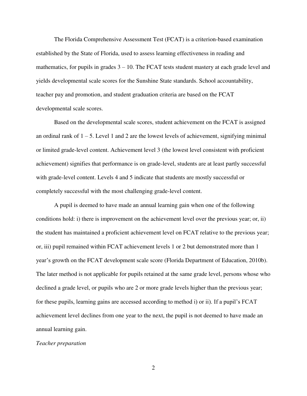The Florida Comprehensive Assessment Test (FCAT) is a criterion-based examination established by the State of Florida, used to assess learning effectiveness in reading and mathematics, for pupils in grades  $3 - 10$ . The FCAT tests student mastery at each grade level and yields developmental scale scores for the Sunshine State standards. School accountability, teacher pay and promotion, and student graduation criteria are based on the FCAT developmental scale scores.

Based on the developmental scale scores, student achievement on the FCAT is assigned an ordinal rank of  $1 - 5$ . Level 1 and 2 are the lowest levels of achievement, signifying minimal or limited grade-level content. Achievement level 3 (the lowest level consistent with proficient achievement) signifies that performance is on grade-level, students are at least partly successful with grade-level content. Levels 4 and 5 indicate that students are mostly successful or completely successful with the most challenging grade-level content.

A pupil is deemed to have made an annual learning gain when one of the following conditions hold: i) there is improvement on the achievement level over the previous year; or, ii) the student has maintained a proficient achievement level on FCAT relative to the previous year; or, iii) pupil remained within FCAT achievement levels 1 or 2 but demonstrated more than 1 year's growth on the FCAT development scale score (Florida Department of Education, 2010b). The later method is not applicable for pupils retained at the same grade level, persons whose who declined a grade level, or pupils who are 2 or more grade levels higher than the previous year; for these pupils, learning gains are accessed according to method i) or ii). If a pupil's FCAT achievement level declines from one year to the next, the pupil is not deemed to have made an annual learning gain.

#### *Teacher preparation*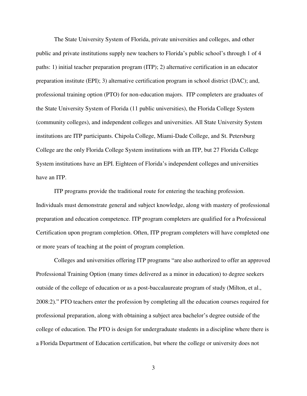The State University System of Florida, private universities and colleges, and other public and private institutions supply new teachers to Florida's public school's through 1 of 4 paths: 1) initial teacher preparation program (ITP); 2) alternative certification in an educator preparation institute (EPI); 3) alternative certification program in school district (DAC); and, professional training option (PTO) for non-education majors. ITP completers are graduates of the State University System of Florida (11 public universities), the Florida College System (community colleges), and independent colleges and universities. All State University System institutions are ITP participants. Chipola College, Miami-Dade College, and St. Petersburg College are the only Florida College System institutions with an ITP, but 27 Florida College System institutions have an EPI. Eighteen of Florida's independent colleges and universities have an ITP.

 ITP programs provide the traditional route for entering the teaching profession. Individuals must demonstrate general and subject knowledge, along with mastery of professional preparation and education competence. ITP program completers are qualified for a Professional Certification upon program completion. Often, ITP program completers will have completed one or more years of teaching at the point of program completion.

Colleges and universities offering ITP programs "are also authorized to offer an approved Professional Training Option (many times delivered as a minor in education) to degree seekers outside of the college of education or as a post-baccalaureate program of study (Milton, et al., 2008:2)." PTO teachers enter the profession by completing all the education courses required for professional preparation, along with obtaining a subject area bachelor's degree outside of the college of education. The PTO is design for undergraduate students in a discipline where there is a Florida Department of Education certification, but where the college or university does not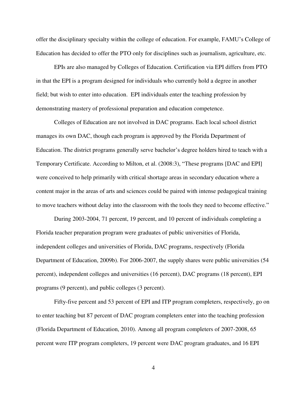offer the disciplinary specialty within the college of education. For example, FAMU's College of Education has decided to offer the PTO only for disciplines such as journalism, agriculture, etc.

EPIs are also managed by Colleges of Education. Certification via EPI differs from PTO in that the EPI is a program designed for individuals who currently hold a degree in another field; but wish to enter into education. EPI individuals enter the teaching profession by demonstrating mastery of professional preparation and education competence.

Colleges of Education are not involved in DAC programs. Each local school district manages its own DAC, though each program is approved by the Florida Department of Education. The district programs generally serve bachelor's degree holders hired to teach with a Temporary Certificate. According to Milton, et al. (2008:3), "These programs [DAC and EPI] were conceived to help primarily with critical shortage areas in secondary education where a content major in the areas of arts and sciences could be paired with intense pedagogical training to move teachers without delay into the classroom with the tools they need to become effective."

During 2003-2004, 71 percent, 19 percent, and 10 percent of individuals completing a Florida teacher preparation program were graduates of public universities of Florida, independent colleges and universities of Florida, DAC programs, respectively (Florida Department of Education, 2009b). For 2006-2007, the supply shares were public universities (54 percent), independent colleges and universities (16 percent), DAC programs (18 percent), EPI programs (9 percent), and public colleges (3 percent).

Fifty-five percent and 53 percent of EPI and ITP program completers, respectively, go on to enter teaching but 87 percent of DAC program completers enter into the teaching profession (Florida Department of Education, 2010). Among all program completers of 2007-2008, 65 percent were ITP program completers, 19 percent were DAC program graduates, and 16 EPI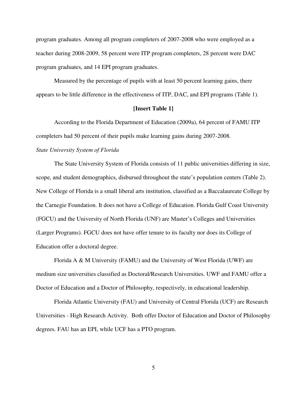program graduates. Among all program completers of 2007-2008 who were employed as a teacher during 2008-2009, 58 percent were ITP program completers, 28 percent were DAC program graduates, and 14 EPI program graduates.

Measured by the percentage of pupils with at least 50 percent learning gains, there appears to be little difference in the effectiveness of ITP, DAC, and EPI programs (Table 1).

# **[Insert Table 1]**

According to the Florida Department of Education (2009a), 64 percent of FAMU ITP completers had 50 percent of their pupils make learning gains during 2007-2008.

# *State University System of Florida*

 The State University System of Florida consists of 11 public universities differing in size, scope, and student demographics, disbursed throughout the state's population centers (Table 2). New College of Florida is a small liberal arts institution, classified as a Baccalaureate College by the Carnegie Foundation. It does not have a College of Education. Florida Gulf Coast University (FGCU) and the University of North Florida (UNF) are Master's Colleges and Universities (Larger Programs). FGCU does not have offer tenure to its faculty nor does its College of Education offer a doctoral degree.

 Florida A & M University (FAMU) and the University of West Florida (UWF) are medium size universities classified as Doctoral/Research Universities. UWF and FAMU offer a Doctor of Education and a Doctor of Philosophy, respectively, in educational leadership.

Florida Atlantic University (FAU) and University of Central Florida (UCF) are Research Universities - High Research Activity. Both offer Doctor of Education and Doctor of Philosophy degrees. FAU has an EPI, while UCF has a PTO program.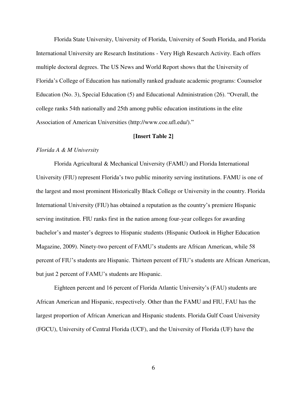Florida State University, University of Florida, University of South Florida, and Florida International University are Research Institutions - Very High Research Activity. Each offers multiple doctoral degrees. The US News and World Report shows that the University of Florida's College of Education has nationally ranked graduate academic programs: Counselor Education (No. 3), Special Education (5) and Educational Administration (26). "Overall, the college ranks 54th nationally and 25th among public education institutions in the elite Association of American Universities (http://www.coe.ufl.edu/)."

# **[Insert Table 2]**

# *Florida A & M University*

Florida Agricultural & Mechanical University (FAMU) and Florida International University (FIU) represent Florida's two public minority serving institutions. FAMU is one of the largest and most prominent Historically Black College or University in the country. Florida International University (FIU) has obtained a reputation as the country's premiere Hispanic serving institution. FIU ranks first in the nation among four-year colleges for awarding bachelor's and master's degrees to Hispanic students (Hispanic Outlook in Higher Education Magazine, 2009). Ninety-two percent of FAMU's students are African American, while 58 percent of FIU's students are Hispanic. Thirteen percent of FIU's students are African American, but just 2 percent of FAMU's students are Hispanic.

Eighteen percent and 16 percent of Florida Atlantic University's (FAU) students are African American and Hispanic, respectively. Other than the FAMU and FIU, FAU has the largest proportion of African American and Hispanic students. Florida Gulf Coast University (FGCU), University of Central Florida (UCF), and the University of Florida (UF) have the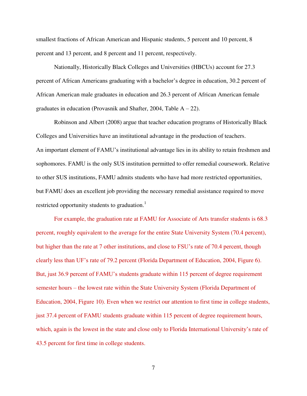smallest fractions of African American and Hispanic students, 5 percent and 10 percent, 8 percent and 13 percent, and 8 percent and 11 percent, respectively.

Nationally, Historically Black Colleges and Universities (HBCUs) account for 27.3 percent of African Americans graduating with a bachelor's degree in education, 30.2 percent of African American male graduates in education and 26.3 percent of African American female graduates in education (Provasnik and Shafter, 2004, Table  $A - 22$ ).

Robinson and Albert (2008) argue that teacher education programs of Historically Black Colleges and Universities have an institutional advantage in the production of teachers. An important element of FAMU's institutional advantage lies in its ability to retain freshmen and sophomores. FAMU is the only SUS institution permitted to offer remedial coursework. Relative to other SUS institutions, FAMU admits students who have had more restricted opportunities, but FAMU does an excellent job providing the necessary remedial assistance required to move restricted opportunity students to graduation.<sup>1</sup>

 For example, the graduation rate at FAMU for Associate of Arts transfer students is 68.3 percent, roughly equivalent to the average for the entire State University System (70.4 percent), but higher than the rate at 7 other institutions, and close to FSU's rate of 70.4 percent, though clearly less than UF's rate of 79.2 percent (Florida Department of Education, 2004, Figure 6). But, just 36.9 percent of FAMU's students graduate within 115 percent of degree requirement semester hours – the lowest rate within the State University System (Florida Department of Education, 2004, Figure 10). Even when we restrict our attention to first time in college students, just 37.4 percent of FAMU students graduate within 115 percent of degree requirement hours, which, again is the lowest in the state and close only to Florida International University's rate of 43.5 percent for first time in college students.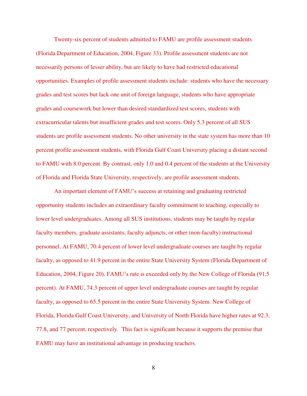Twenty-six percent of students admitted to FAMU are profile assessment students (Florida Department of Education, 2004, Figure 33). Profile assessment students are not necessarily persons of lesser ability, but are likely to have had restricted educational opportunities. Examples of profile assessment students include: students who have the necessary grades and test scores but lack one unit of foreign language, students who have appropriate grades and coursework but lower than desired standardized test scores, students with extracurricular talents but insufficient grades and test scores. Only 5.3 percent of all SUS students are profile assessment students. No other university in the state system has more than 10 percent profile assessment students, with Florida Gulf Coast University placing a distant second to FAMU with 8.0 percent. By contrast, only 1.0 and 0.4 percent of the students at the University of Florida and Florida State University, respectively, are profile assessment students.

An important element of FAMU's success at retaining and graduating restricted opportunity students includes an extraordinary faculty commitment to teaching, especially to lower level undergraduates. Among all SUS institutions, students may be taught by regular faculty members, graduate assistants, faculty adjuncts, or other (non-faculty) instructional personnel. At FAMU, 70.4 percent of lower level undergraduate courses are taught by regular faculty, as opposed to 41.9 percent in the entire State University System (Florida Department of Education, 2004, Figure 20). FAMU's rate is exceeded only by the New College of Florida (91.5 percent). At FAMU, 74.3 percent of upper level undergraduate courses are taught by regular faculty, as opposed to 65.5 percent in the entire State University System. New College of Florida, Florida Gulf Coast University, and University of North Florida have higher rates at 92.3, 77.8, and 77 percent, respectively. This fact is significant because it supports the premise that FAMU may have an institutional advantage in producing teachers.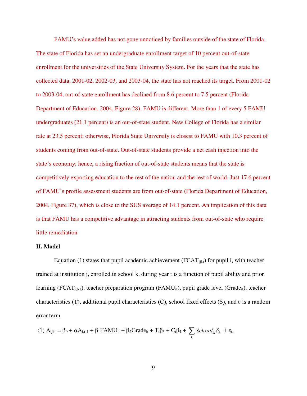FAMU's value added has not gone unnoticed by families outside of the state of Florida. The state of Florida has set an undergraduate enrollment target of 10 percent out-of-state enrollment for the universities of the State University System. For the years that the state has collected data, 2001-02, 2002-03, and 2003-04, the state has not reached its target. From 2001-02 to 2003-04, out-of-state enrollment has declined from 8.6 percent to 7.5 percent (Florida Department of Education, 2004, Figure 28). FAMU is different. More than 1 of every 5 FAMU undergraduates (21.1 percent) is an out-of-state student. New College of Florida has a similar rate at 23.5 percent; otherwise, Florida State University is closest to FAMU with 10.3 percent of students coming from out-of-state. Out-of-state students provide a net cash injection into the state's economy; hence, a rising fraction of out-of-state students means that the state is competitively exporting education to the rest of the nation and the rest of world. Just 17.6 percent of FAMU's profile assessment students are from out-of-state (Florida Department of Education, 2004, Figure 37), which is close to the SUS average of 14.1 percent. An implication of this data is that FAMU has a competitive advantage in attracting students from out-of-state who require little remediation.

#### **II. Model**

Equation (1) states that pupil academic achievement ( $\text{FCAT}_{\text{i}k}$ ) for pupil i, with teacher trained at institution j, enrolled in school k, during year t is a function of pupil ability and prior learning (FCAT<sub>i,t-1</sub>), teacher preparation program (FAMU<sub>it</sub>), pupil grade level (Grade<sub>it</sub>), teacher characteristics (T), additional pupil characteristics (C), school fixed effects (S), and ε is a random error term.

$$
(1) A_{ijkl} = \beta_0 + \alpha A_{i,t-1} + \beta_1 FAMU_{it} + \beta_2 Grade_{it} + T_t\beta_3 + C_t\beta_4 + \sum_k School_{ki}\delta_k + \epsilon_t,
$$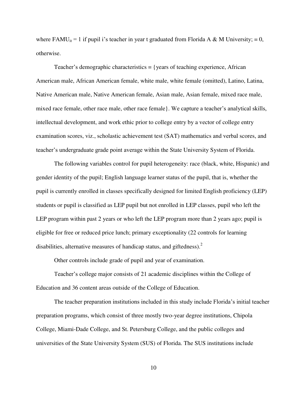where FAMU<sub>it</sub> = 1 if pupil i's teacher in year t graduated from Florida A & M University; = 0, otherwise.

 Teacher's demographic characteristics = {years of teaching experience, African American male, African American female, white male, white female (omitted), Latino, Latina, Native American male, Native American female, Asian male, Asian female, mixed race male, mixed race female, other race male, other race female}. We capture a teacher's analytical skills, intellectual development, and work ethic prior to college entry by a vector of college entry examination scores, viz., scholastic achievement test (SAT) mathematics and verbal scores, and teacher's undergraduate grade point average within the State University System of Florida.

The following variables control for pupil heterogeneity: race (black, white, Hispanic) and gender identity of the pupil; English language learner status of the pupil, that is, whether the pupil is currently enrolled in classes specifically designed for limited English proficiency (LEP) students or pupil is classified as LEP pupil but not enrolled in LEP classes, pupil who left the LEP program within past 2 years or who left the LEP program more than 2 years ago; pupil is eligible for free or reduced price lunch; primary exceptionality (22 controls for learning disabilities, alternative measures of handicap status, and giftedness). $2$ 

Other controls include grade of pupil and year of examination.

Teacher's college major consists of 21 academic disciplines within the College of Education and 36 content areas outside of the College of Education.

The teacher preparation institutions included in this study include Florida's initial teacher preparation programs, which consist of three mostly two-year degree institutions, Chipola College, Miami-Dade College, and St. Petersburg College, and the public colleges and universities of the State University System (SUS) of Florida. The SUS institutions include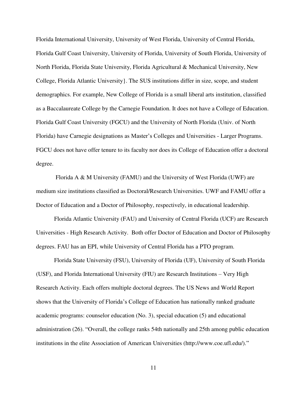Florida International University, University of West Florida, University of Central Florida, Florida Gulf Coast University, University of Florida, University of South Florida, University of North Florida, Florida State University, Florida Agricultural & Mechanical University, New College, Florida Atlantic University}. The SUS institutions differ in size, scope, and student demographics. For example, New College of Florida is a small liberal arts institution, classified as a Baccalaureate College by the Carnegie Foundation. It does not have a College of Education. Florida Gulf Coast University (FGCU) and the University of North Florida (Univ. of North Florida) have Carnegie designations as Master's Colleges and Universities - Larger Programs. FGCU does not have offer tenure to its faculty nor does its College of Education offer a doctoral degree.

 Florida A & M University (FAMU) and the University of West Florida (UWF) are medium size institutions classified as Doctoral/Research Universities. UWF and FAMU offer a Doctor of Education and a Doctor of Philosophy, respectively, in educational leadership.

Florida Atlantic University (FAU) and University of Central Florida (UCF) are Research Universities - High Research Activity. Both offer Doctor of Education and Doctor of Philosophy degrees. FAU has an EPI, while University of Central Florida has a PTO program.

Florida State University (FSU), University of Florida (UF), University of South Florida (USF), and Florida International University (FIU) are Research Institutions – Very High Research Activity. Each offers multiple doctoral degrees. The US News and World Report shows that the University of Florida's College of Education has nationally ranked graduate academic programs: counselor education (No. 3), special education (5) and educational administration (26). "Overall, the college ranks 54th nationally and 25th among public education institutions in the elite Association of American Universities (http://www.coe.ufl.edu/)."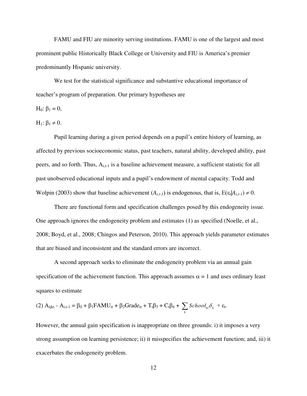FAMU and FIU are minority serving institutions. FAMU is one of the largest and most prominent public Historically Black College or University and FIU is America's premier predominantly Hispanic university.

 We test for the statistical significance and substantive educational importance of teacher's program of preparation. Our primary hypotheses are

H<sub>0</sub>:  $β$ <sub>1</sub> = 0,

H<sub>1</sub>:  $\beta_1 \neq 0$ .

Pupil learning during a given period depends on a pupil's entire history of learning, as affected by previous socioeconomic status, past teachers, natural ability, developed ability, past peers, and so forth. Thus, A<sub>i,t-1</sub> is a baseline achievement measure, a sufficient statistic for all past unobserved educational inputs and a pupil's endowment of mental capacity. Todd and Wolpin (2003) show that baseline achievement  $(A_{i,t-1})$  is endogenous, that is,  $E(\varepsilon_t | A_{i,t-1}) \neq 0$ .

There are functional form and specification challenges posed by this endogeneity issue. One approach ignores the endogeneity problem and estimates (1) as specified (Noelle, et al., 2008; Boyd, et al., 2008; Chingos and Peterson, 2010). This approach yields parameter estimates that are biased and inconsistent and the standard errors are incorrect.

A second approach seeks to eliminate the endogeneity problem via an annual gain specification of the achievement function. This approach assumes  $\alpha = 1$  and uses ordinary least squares to estimate

(2) 
$$
A_{ijkl} - A_{i,t-1} = \beta_0 + \beta_1 FAMU_{it} + \beta_2 Grade_{it} + T_t \beta_3 + C_t \beta_4 + \sum_k School_{ki} \delta_k + \varepsilon_t
$$
.

However, the annual gain specification is inappropriate on three grounds: i) it imposes a very strong assumption on learning persistence; ii) it misspecifies the achievement function; and, iii) it exacerbates the endogeneity problem.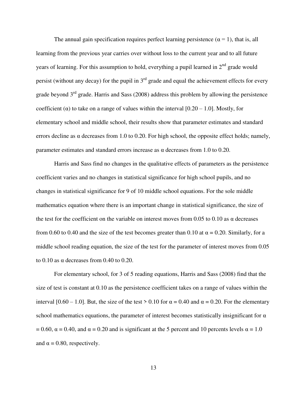The annual gain specification requires perfect learning persistence  $(\alpha = 1)$ , that is, all learning from the previous year carries over without loss to the current year and to all future years of learning. For this assumption to hold, everything a pupil learned in  $2<sup>nd</sup>$  grade would persist (without any decay) for the pupil in  $3<sup>rd</sup>$  grade and equal the achievement effects for every grade beyond  $3<sup>rd</sup>$  grade. Harris and Sass (2008) address this problem by allowing the persistence coefficient ( $\alpha$ ) to take on a range of values within the interval [0.20 – 1.0]. Mostly, for elementary school and middle school, their results show that parameter estimates and standard errors decline as  $\alpha$  decreases from 1.0 to 0.20. For high school, the opposite effect holds; namely, parameter estimates and standard errors increase as  $\alpha$  decreases from 1.0 to 0.20.

Harris and Sass find no changes in the qualitative effects of parameters as the persistence coefficient varies and no changes in statistical significance for high school pupils, and no changes in statistical significance for 9 of 10 middle school equations. For the sole middle mathematics equation where there is an important change in statistical significance, the size of the test for the coefficient on the variable on interest moves from 0.05 to 0.10 as  $\alpha$  decreases from 0.60 to 0.40 and the size of the test becomes greater than 0.10 at  $\alpha = 0.20$ . Similarly, for a middle school reading equation, the size of the test for the parameter of interest moves from 0.05 to  $0.10$  as  $\alpha$  decreases from  $0.40$  to  $0.20$ .

For elementary school, for 3 of 5 reading equations, Harris and Sass (2008) find that the size of test is constant at 0.10 as the persistence coefficient takes on a range of values within the interval [0.60 – 1.0]. But, the size of the test > 0.10 for  $\alpha = 0.40$  and  $\alpha = 0.20$ . For the elementary school mathematics equations, the parameter of interest becomes statistically insignificant for  $\alpha$  $= 0.60$ ,  $\alpha = 0.40$ , and  $\alpha = 0.20$  and is significant at the 5 percent and 10 percents levels  $\alpha = 1.0$ and  $\alpha = 0.80$ , respectively.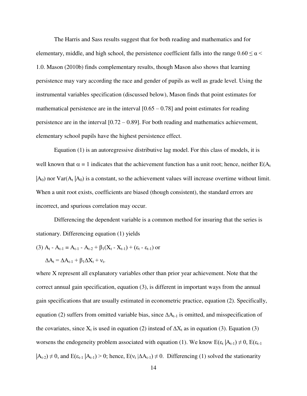The Harris and Sass results suggest that for both reading and mathematics and for elementary, middle, and high school, the persistence coefficient falls into the range  $0.60 \le \alpha$ 1.0. Mason (2010b) finds complementary results, though Mason also shows that learning persistence may vary according the race and gender of pupils as well as grade level. Using the instrumental variables specification (discussed below), Mason finds that point estimates for mathematical persistence are in the interval  $[0.65 - 0.78]$  and point estimates for reading persistence are in the interval [0.72 – 0.89]. For both reading and mathematics achievement, elementary school pupils have the highest persistence effect.

 Equation (1) is an autoregressive distributive lag model. For this class of models, it is well known that  $\alpha = 1$  indicates that the achievement function has a unit root; hence, neither  $E(A_t)$  $|A_0|$  nor  $Var(A_t | A_0)$  is a constant, so the achievement values will increase overtime without limit. When a unit root exists, coefficients are biased (though consistent), the standard errors are incorrect, and spurious correlation may occur.

Differencing the dependent variable is a common method for insuring that the series is stationary. Differencing equation (1) yields

(3) 
$$
A_t - A_{t-1} = A_{t-1} - A_{t-2} + \beta_1(X_t - X_{t-1}) + (\varepsilon_t - \varepsilon_{t-1})
$$
 or

.

$$
\Delta A_t = \Delta A_{t-1} + \beta_1 \Delta X_t + v_t
$$

where X represent all explanatory variables other than prior year achievement. Note that the correct annual gain specification, equation (3), is different in important ways from the annual gain specifications that are usually estimated in econometric practice, equation (2). Specifically, equation (2) suffers from omitted variable bias, since  $\Delta A_{t-1}$  is omitted, and misspecification of the covariates, since  $X_t$  is used in equation (2) instead of  $\Delta X_t$  as in equation (3). Equation (3) worsens the endogeneity problem associated with equation (1). We know  $E(\epsilon_t | A_{t-1}) \neq 0$ ,  $E(\epsilon_{t-1})$  $|A_{t-2}| \neq 0$ , and  $E(\epsilon_{t-1} | A_{t-1}) > 0$ ; hence,  $E(v_t | \Delta A_{t-1}) \neq 0$ . Differencing (1) solved the stationarity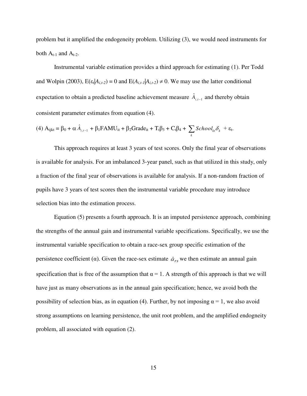problem but it amplified the endogeneity problem. Utilizing (3), we would need instruments for both  $A_{t-1}$  and  $A_{t-2}$ .

Instrumental variable estimation provides a third approach for estimating (1). Per Todd and Wolpin (2003),  $E(\epsilon_t | A_{i,t-2}) = 0$  and  $E(A_{i,t-1} | A_{i,t-2}) \neq 0$ . We may use the latter conditional expectation to obtain a predicted baseline achievement measure  $\hat{A}_{i,t-1}$  and thereby obtain consistent parameter estimates from equation (4).

(4) 
$$
A_{ijkl} = \beta_0 + \alpha \hat{A}_{i,t-1} + \beta_1 FAMU_{it} + \beta_2 Grade_{it} + T_t \beta_3 + C_t \beta_4 + \sum_k School_{ki} \delta_k + \varepsilon_t
$$
.

 This approach requires at least 3 years of test scores. Only the final year of observations is available for analysis. For an imbalanced 3-year panel, such as that utilized in this study, only a fraction of the final year of observations is available for analysis. If a non-random fraction of pupils have 3 years of test scores then the instrumental variable procedure may introduce selection bias into the estimation process.

Equation (5) presents a fourth approach. It is an imputed persistence approach, combining the strengths of the annual gain and instrumental variable specifications. Specifically, we use the instrumental variable specification to obtain a race-sex group specific estimation of the persistence coefficient ( $\alpha$ ). Given the race-sex estimate  $\hat{\alpha}_{rs}$  we then estimate an annual gain specification that is free of the assumption that  $\alpha = 1$ . A strength of this approach is that we will have just as many observations as in the annual gain specification; hence, we avoid both the possibility of selection bias, as in equation (4). Further, by not imposing  $\alpha = 1$ , we also avoid strong assumptions on learning persistence, the unit root problem, and the amplified endogneity problem, all associated with equation (2).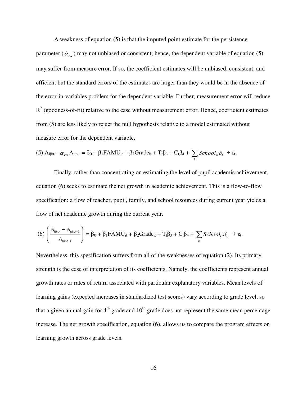A weakness of equation (5) is that the imputed point estimate for the persistence parameter  $(\hat{\alpha}_{rs})$  may not unbiased or consistent; hence, the dependent variable of equation (5) may suffer from measure error. If so, the coefficient estimates will be unbiased, consistent, and efficient but the standard errors of the estimates are larger than they would be in the absence of the error-in-variables problem for the dependent variable. Further, measurement error will reduce  $R^2$  (goodness-of-fit) relative to the case without measurement error. Hence, coefficient estimates from (5) are less likely to reject the null hypothesis relative to a model estimated without measure error for the dependent variable.

(5) 
$$
A_{ijkl} - \hat{\alpha}_{rs} A_{i,t-1} = \beta_0 + \beta_1 FAMU_{it} + \beta_2 Grade_{it} + T_t\beta_3 + C_t\beta_4 + \sum_k School_{ki}\delta_k + \varepsilon_t.
$$

Finally, rather than concentrating on estimating the level of pupil academic achievement, equation (6) seeks to estimate the net growth in academic achievement. This is a flow-to-flow specification: a flow of teacher, pupil, family, and school resources during current year yields a flow of net academic growth during the current year.

$$
(6)\left(\frac{A_{ijk,t}-A_{ijk,t-1}}{A_{ijk,t-1}}\right)=\beta_0+\beta_1FAMU_{it}+\beta_2Grade_{it}+T_t\beta_3+C_t\beta_4+\sum_k School_{kt}\delta_k +\varepsilon_t.
$$

Nevertheless, this specification suffers from all of the weaknesses of equation (2). Its primary strength is the ease of interpretation of its coefficients. Namely, the coefficients represent annual growth rates or rates of return associated with particular explanatory variables. Mean levels of learning gains (expected increases in standardized test scores) vary according to grade level, so that a given annual gain for  $4<sup>th</sup>$  grade and  $10<sup>th</sup>$  grade does not represent the same mean percentage increase. The net growth specification, equation (6), allows us to compare the program effects on learning growth across grade levels.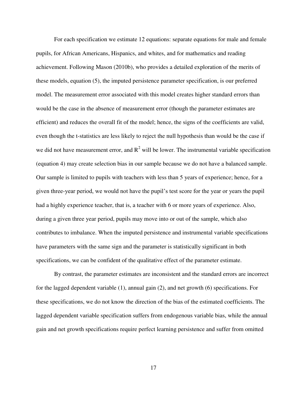For each specification we estimate 12 equations: separate equations for male and female pupils, for African Americans, Hispanics, and whites, and for mathematics and reading achievement. Following Mason (2010b), who provides a detailed exploration of the merits of these models, equation (5), the imputed persistence parameter specification, is our preferred model. The measurement error associated with this model creates higher standard errors than would be the case in the absence of measurement error (though the parameter estimates are efficient) and reduces the overall fit of the model; hence, the signs of the coefficients are valid, even though the t-statistics are less likely to reject the null hypothesis than would be the case if we did not have measurement error, and  $R^2$  will be lower. The instrumental variable specification (equation 4) may create selection bias in our sample because we do not have a balanced sample. Our sample is limited to pupils with teachers with less than 5 years of experience; hence, for a given three-year period, we would not have the pupil's test score for the year or years the pupil had a highly experience teacher, that is, a teacher with 6 or more years of experience. Also, during a given three year period, pupils may move into or out of the sample, which also contributes to imbalance. When the imputed persistence and instrumental variable specifications have parameters with the same sign and the parameter is statistically significant in both specifications, we can be confident of the qualitative effect of the parameter estimate.

 By contrast, the parameter estimates are inconsistent and the standard errors are incorrect for the lagged dependent variable (1), annual gain (2), and net growth (6) specifications. For these specifications, we do not know the direction of the bias of the estimated coefficients. The lagged dependent variable specification suffers from endogenous variable bias, while the annual gain and net growth specifications require perfect learning persistence and suffer from omitted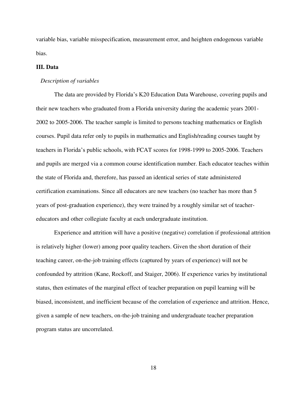variable bias, variable misspecification, measurement error, and heighten endogenous variable bias.

## **III. Data**

# *Description of variables*

The data are provided by Florida's K20 Education Data Warehouse, covering pupils and their new teachers who graduated from a Florida university during the academic years 2001- 2002 to 2005-2006. The teacher sample is limited to persons teaching mathematics or English courses. Pupil data refer only to pupils in mathematics and English/reading courses taught by teachers in Florida's public schools, with FCAT scores for 1998-1999 to 2005-2006. Teachers and pupils are merged via a common course identification number. Each educator teaches within the state of Florida and, therefore, has passed an identical series of state administered certification examinations. Since all educators are new teachers (no teacher has more than 5 years of post-graduation experience), they were trained by a roughly similar set of teachereducators and other collegiate faculty at each undergraduate institution.

Experience and attrition will have a positive (negative) correlation if professional attrition is relatively higher (lower) among poor quality teachers. Given the short duration of their teaching career, on-the-job training effects (captured by years of experience) will not be confounded by attrition (Kane, Rockoff, and Staiger, 2006). If experience varies by institutional status, then estimates of the marginal effect of teacher preparation on pupil learning will be biased, inconsistent, and inefficient because of the correlation of experience and attrition. Hence, given a sample of new teachers, on-the-job training and undergraduate teacher preparation program status are uncorrelated.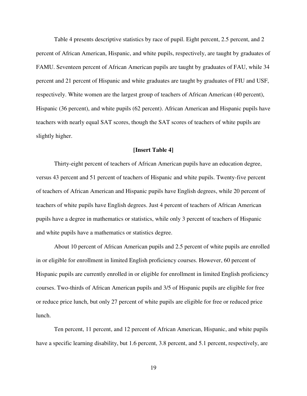Table 4 presents descriptive statistics by race of pupil. Eight percent, 2.5 percent, and 2 percent of African American, Hispanic, and white pupils, respectively, are taught by graduates of FAMU. Seventeen percent of African American pupils are taught by graduates of FAU, while 34 percent and 21 percent of Hispanic and white graduates are taught by graduates of FIU and USF, respectively. White women are the largest group of teachers of African American (40 percent), Hispanic (36 percent), and white pupils (62 percent). African American and Hispanic pupils have teachers with nearly equal SAT scores, though the SAT scores of teachers of white pupils are slightly higher.

# **[Insert Table 4]**

 Thirty-eight percent of teachers of African American pupils have an education degree, versus 43 percent and 51 percent of teachers of Hispanic and white pupils. Twenty-five percent of teachers of African American and Hispanic pupils have English degrees, while 20 percent of teachers of white pupils have English degrees. Just 4 percent of teachers of African American pupils have a degree in mathematics or statistics, while only 3 percent of teachers of Hispanic and white pupils have a mathematics or statistics degree.

 About 10 percent of African American pupils and 2.5 percent of white pupils are enrolled in or eligible for enrollment in limited English proficiency courses. However, 60 percent of Hispanic pupils are currently enrolled in or eligible for enrollment in limited English proficiency courses. Two-thirds of African American pupils and 3/5 of Hispanic pupils are eligible for free or reduce price lunch, but only 27 percent of white pupils are eligible for free or reduced price lunch.

 Ten percent, 11 percent, and 12 percent of African American, Hispanic, and white pupils have a specific learning disability, but 1.6 percent, 3.8 percent, and 5.1 percent, respectively, are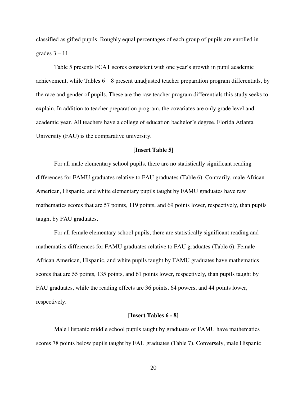classified as gifted pupils. Roughly equal percentages of each group of pupils are enrolled in grades  $3 - 11$ .

Table 5 presents FCAT scores consistent with one year's growth in pupil academic achievement, while Tables 6 – 8 present unadjusted teacher preparation program differentials, by the race and gender of pupils. These are the raw teacher program differentials this study seeks to explain. In addition to teacher preparation program, the covariates are only grade level and academic year. All teachers have a college of education bachelor's degree. Florida Atlanta University (FAU) is the comparative university.

# **[Insert Table 5]**

 For all male elementary school pupils, there are no statistically significant reading differences for FAMU graduates relative to FAU graduates (Table 6). Contrarily, male African American, Hispanic, and white elementary pupils taught by FAMU graduates have raw mathematics scores that are 57 points, 119 points, and 69 points lower, respectively, than pupils taught by FAU graduates.

For all female elementary school pupils, there are statistically significant reading and mathematics differences for FAMU graduates relative to FAU graduates (Table 6). Female African American, Hispanic, and white pupils taught by FAMU graduates have mathematics scores that are 55 points, 135 points, and 61 points lower, respectively, than pupils taught by FAU graduates, while the reading effects are 36 points, 64 powers, and 44 points lower, respectively.

#### **[Insert Tables 6 - 8]**

 Male Hispanic middle school pupils taught by graduates of FAMU have mathematics scores 78 points below pupils taught by FAU graduates (Table 7). Conversely, male Hispanic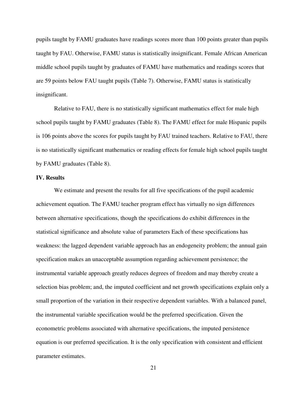pupils taught by FAMU graduates have readings scores more than 100 points greater than pupils taught by FAU. Otherwise, FAMU status is statistically insignificant. Female African American middle school pupils taught by graduates of FAMU have mathematics and readings scores that are 59 points below FAU taught pupils (Table 7). Otherwise, FAMU status is statistically insignificant.

 Relative to FAU, there is no statistically significant mathematics effect for male high school pupils taught by FAMU graduates (Table 8). The FAMU effect for male Hispanic pupils is 106 points above the scores for pupils taught by FAU trained teachers. Relative to FAU, there is no statistically significant mathematics or reading effects for female high school pupils taught by FAMU graduates (Table 8).

### **IV. Results**

We estimate and present the results for all five specifications of the pupil academic achievement equation. The FAMU teacher program effect has virtually no sign differences between alternative specifications, though the specifications do exhibit differences in the statistical significance and absolute value of parameters Each of these specifications has weakness: the lagged dependent variable approach has an endogeneity problem; the annual gain specification makes an unacceptable assumption regarding achievement persistence; the instrumental variable approach greatly reduces degrees of freedom and may thereby create a selection bias problem; and, the imputed coefficient and net growth specifications explain only a small proportion of the variation in their respective dependent variables. With a balanced panel, the instrumental variable specification would be the preferred specification. Given the econometric problems associated with alternative specifications, the imputed persistence equation is our preferred specification. It is the only specification with consistent and efficient parameter estimates.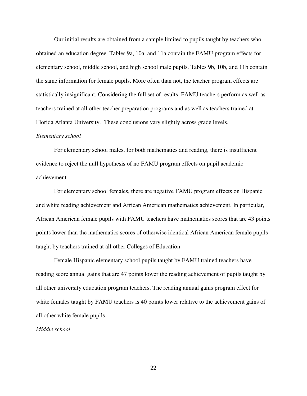Our initial results are obtained from a sample limited to pupils taught by teachers who obtained an education degree. Tables 9a, 10a, and 11a contain the FAMU program effects for elementary school, middle school, and high school male pupils. Tables 9b, 10b, and 11b contain the same information for female pupils. More often than not, the teacher program effects are statistically insignificant. Considering the full set of results, FAMU teachers perform as well as teachers trained at all other teacher preparation programs and as well as teachers trained at Florida Atlanta University. These conclusions vary slightly across grade levels.

#### *Elementary school*

 For elementary school males, for both mathematics and reading, there is insufficient evidence to reject the null hypothesis of no FAMU program effects on pupil academic achievement.

For elementary school females, there are negative FAMU program effects on Hispanic and white reading achievement and African American mathematics achievement. In particular, African American female pupils with FAMU teachers have mathematics scores that are 43 points points lower than the mathematics scores of otherwise identical African American female pupils taught by teachers trained at all other Colleges of Education.

 Female Hispanic elementary school pupils taught by FAMU trained teachers have reading score annual gains that are 47 points lower the reading achievement of pupils taught by all other university education program teachers. The reading annual gains program effect for white females taught by FAMU teachers is 40 points lower relative to the achievement gains of all other white female pupils.

### *Middle school*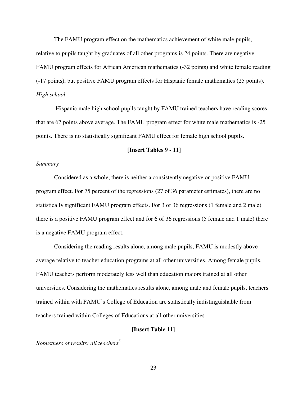The FAMU program effect on the mathematics achievement of white male pupils, relative to pupils taught by graduates of all other programs is 24 points. There are negative FAMU program effects for African American mathematics (-32 points) and white female reading (-17 points), but positive FAMU program effects for Hispanic female mathematics (25 points). *High school* 

 Hispanic male high school pupils taught by FAMU trained teachers have reading scores that are 67 points above average. The FAMU program effect for white male mathematics is -25 points. There is no statistically significant FAMU effect for female high school pupils.

# **[Insert Tables 9 - 11]**

#### *Summary*

Considered as a whole, there is neither a consistently negative or positive FAMU program effect. For 75 percent of the regressions (27 of 36 parameter estimates), there are no statistically significant FAMU program effects. For 3 of 36 regressions (1 female and 2 male) there is a positive FAMU program effect and for 6 of 36 regressions (5 female and 1 male) there is a negative FAMU program effect.

 Considering the reading results alone, among male pupils, FAMU is modestly above average relative to teacher education programs at all other universities. Among female pupils, FAMU teachers perform moderately less well than education majors trained at all other universities. Considering the mathematics results alone, among male and female pupils, teachers trained within with FAMU's College of Education are statistically indistinguishable from teachers trained within Colleges of Educations at all other universities.

# **[Insert Table 11]**

*Robustness of results: all teachers<sup>3</sup>*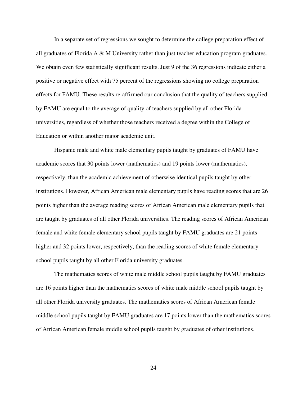In a separate set of regressions we sought to determine the college preparation effect of all graduates of Florida A & M University rather than just teacher education program graduates. We obtain even few statistically significant results. Just 9 of the 36 regressions indicate either a positive or negative effect with 75 percent of the regressions showing no college preparation effects for FAMU. These results re-affirmed our conclusion that the quality of teachers supplied by FAMU are equal to the average of quality of teachers supplied by all other Florida universities, regardless of whether those teachers received a degree within the College of Education or within another major academic unit.

Hispanic male and white male elementary pupils taught by graduates of FAMU have academic scores that 30 points lower (mathematics) and 19 points lower (mathematics), respectively, than the academic achievement of otherwise identical pupils taught by other institutions. However, African American male elementary pupils have reading scores that are 26 points higher than the average reading scores of African American male elementary pupils that are taught by graduates of all other Florida universities. The reading scores of African American female and white female elementary school pupils taught by FAMU graduates are 21 points higher and 32 points lower, respectively, than the reading scores of white female elementary school pupils taught by all other Florida university graduates.

The mathematics scores of white male middle school pupils taught by FAMU graduates are 16 points higher than the mathematics scores of white male middle school pupils taught by all other Florida university graduates. The mathematics scores of African American female middle school pupils taught by FAMU graduates are 17 points lower than the mathematics scores of African American female middle school pupils taught by graduates of other institutions.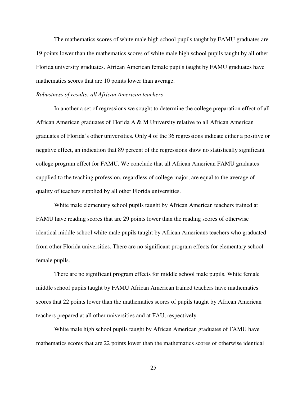The mathematics scores of white male high school pupils taught by FAMU graduates are 19 points lower than the mathematics scores of white male high school pupils taught by all other Florida university graduates. African American female pupils taught by FAMU graduates have mathematics scores that are 10 points lower than average.

#### *Robustness of results: all African American teachers*

In another a set of regressions we sought to determine the college preparation effect of all African American graduates of Florida A & M University relative to all African American graduates of Florida's other universities. Only 4 of the 36 regressions indicate either a positive or negative effect, an indication that 89 percent of the regressions show no statistically significant college program effect for FAMU. We conclude that all African American FAMU graduates supplied to the teaching profession, regardless of college major, are equal to the average of quality of teachers supplied by all other Florida universities.

 White male elementary school pupils taught by African American teachers trained at FAMU have reading scores that are 29 points lower than the reading scores of otherwise identical middle school white male pupils taught by African Americans teachers who graduated from other Florida universities. There are no significant program effects for elementary school female pupils.

There are no significant program effects for middle school male pupils. White female middle school pupils taught by FAMU African American trained teachers have mathematics scores that 22 points lower than the mathematics scores of pupils taught by African American teachers prepared at all other universities and at FAU, respectively.

White male high school pupils taught by African American graduates of FAMU have mathematics scores that are 22 points lower than the mathematics scores of otherwise identical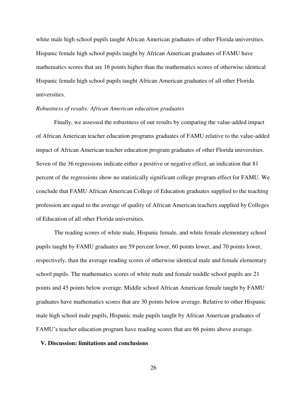white male high school pupils taught African American graduates of other Florida universities. Hispanic female high school pupils taught by African American graduates of FAMU have mathematics scores that are 16 points higher than the mathematics scores of otherwise identical Hispanic female high school pupils taught African American graduates of all other Florida universities.

# *Robustness of results: African American education graduates*

 Finally, we assessed the robustness of our results by comparing the value-added impact of African American teacher education programs graduates of FAMU relative to the value-added impact of African American teacher education program graduates of other Florida universities. Seven of the 36 regressions indicate either a positive or negative effect, an indication that 81 percent of the regressions show no statistically significant college program effect for FAMU. We conclude that FAMU African American College of Education graduates supplied to the teaching profession are equal to the average of quality of African American teachers supplied by Colleges of Education of all other Florida universities.

 The reading scores of white male, Hispanic female, and white female elementary school pupils taught by FAMU graduates are 59 percent lower, 60 points lower, and 70 points lower, respectively, than the average reading scores of otherwise identical male and female elementary school pupils. The mathematics scores of white male and female middle school pupils are 21 points and 45 points below average. Middle school African American female taught by FAMU graduates have mathematics scores that are 30 points below average. Relative to other Hispanic male high school male pupils, Hispanic male pupils taught by African American graduates of FAMU's teacher education program have reading scores that are 66 points above average.

#### **V. Discussion: limitations and conclusions**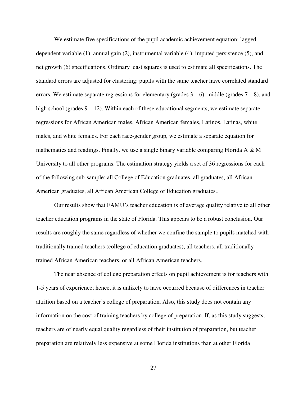We estimate five specifications of the pupil academic achievement equation: lagged dependent variable (1), annual gain (2), instrumental variable (4), imputed persistence (5), and net growth (6) specifications. Ordinary least squares is used to estimate all specifications. The standard errors are adjusted for clustering: pupils with the same teacher have correlated standard errors. We estimate separate regressions for elementary (grades  $3 - 6$ ), middle (grades  $7 - 8$ ), and high school (grades  $9 - 12$ ). Within each of these educational segments, we estimate separate regressions for African American males, African American females, Latinos, Latinas, white males, and white females. For each race-gender group, we estimate a separate equation for mathematics and readings. Finally, we use a single binary variable comparing Florida A  $\&$  M University to all other programs. The estimation strategy yields a set of 36 regressions for each of the following sub-sample: all College of Education graduates, all graduates, all African American graduates, all African American College of Education graduates..

Our results show that FAMU's teacher education is of average quality relative to all other teacher education programs in the state of Florida. This appears to be a robust conclusion. Our results are roughly the same regardless of whether we confine the sample to pupils matched with traditionally trained teachers (college of education graduates), all teachers, all traditionally trained African American teachers, or all African American teachers.

 The near absence of college preparation effects on pupil achievement is for teachers with 1-5 years of experience; hence, it is unlikely to have occurred because of differences in teacher attrition based on a teacher's college of preparation. Also, this study does not contain any information on the cost of training teachers by college of preparation. If, as this study suggests, teachers are of nearly equal quality regardless of their institution of preparation, but teacher preparation are relatively less expensive at some Florida institutions than at other Florida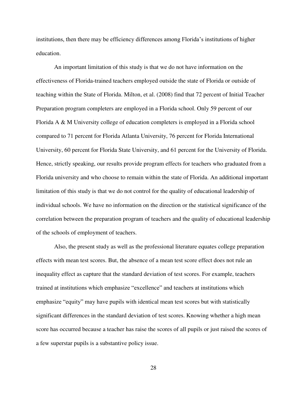institutions, then there may be efficiency differences among Florida's institutions of higher education.

An important limitation of this study is that we do not have information on the effectiveness of Florida-trained teachers employed outside the state of Florida or outside of teaching within the State of Florida. Milton, et al. (2008) find that 72 percent of Initial Teacher Preparation program completers are employed in a Florida school. Only 59 percent of our Florida A & M University college of education completers is employed in a Florida school compared to 71 percent for Florida Atlanta University, 76 percent for Florida International University, 60 percent for Florida State University, and 61 percent for the University of Florida. Hence, strictly speaking, our results provide program effects for teachers who graduated from a Florida university and who choose to remain within the state of Florida. An additional important limitation of this study is that we do not control for the quality of educational leadership of individual schools. We have no information on the direction or the statistical significance of the correlation between the preparation program of teachers and the quality of educational leadership of the schools of employment of teachers.

Also, the present study as well as the professional literature equates college preparation effects with mean test scores. But, the absence of a mean test score effect does not rule an inequality effect as capture that the standard deviation of test scores. For example, teachers trained at institutions which emphasize "excellence" and teachers at institutions which emphasize "equity" may have pupils with identical mean test scores but with statistically significant differences in the standard deviation of test scores. Knowing whether a high mean score has occurred because a teacher has raise the scores of all pupils or just raised the scores of a few superstar pupils is a substantive policy issue.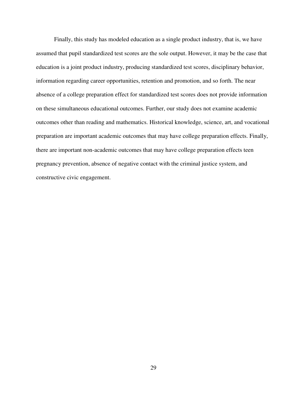Finally, this study has modeled education as a single product industry, that is, we have assumed that pupil standardized test scores are the sole output. However, it may be the case that education is a joint product industry, producing standardized test scores, disciplinary behavior, information regarding career opportunities, retention and promotion, and so forth. The near absence of a college preparation effect for standardized test scores does not provide information on these simultaneous educational outcomes. Further, our study does not examine academic outcomes other than reading and mathematics. Historical knowledge, science, art, and vocational preparation are important academic outcomes that may have college preparation effects. Finally, there are important non-academic outcomes that may have college preparation effects teen pregnancy prevention, absence of negative contact with the criminal justice system, and constructive civic engagement.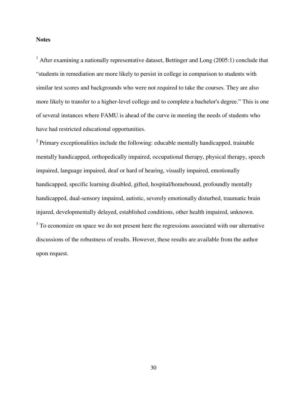# **Notes**

 $1$  After examining a nationally representative dataset, Bettinger and Long (2005:1) conclude that "students in remediation are more likely to persist in college in comparison to students with similar test scores and backgrounds who were not required to take the courses. They are also more likely to transfer to a higher-level college and to complete a bachelor's degree." This is one of several instances where FAMU is ahead of the curve in meeting the needs of students who have had restricted educational opportunities.

 $2$  Primary exceptionalities include the following: educable mentally handicapped, trainable mentally handicapped, orthopedically impaired, occupational therapy, physical therapy, speech impaired, language impaired, deaf or hard of hearing, visually impaired, emotionally handicapped, specific learning disabled, gifted, hospital/homebound, profoundly mentally handicapped, dual-sensory impaired, autistic, severely emotionally disturbed, traumatic brain injured, developmentally delayed, established conditions, other health impaired, unknown.  $3$  To economize on space we do not present here the regressions associated with our alternative discussions of the robustness of results. However, these results are available from the author upon request.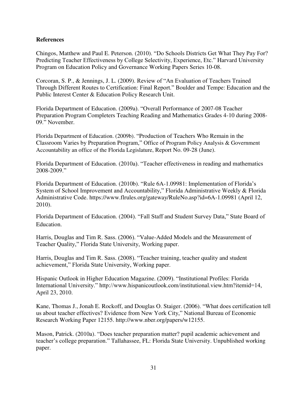# **References**

Chingos, Matthew and Paul E. Peterson. (2010). "Do Schools Districts Get What They Pay For? Predicting Teacher Effectiveness by College Selectivity, Experience, Etc." Harvard University Program on Education Policy and Governance Working Papers Series 10-08.

Corcoran, S. P., & Jennings, J. L. (2009). Review of "An Evaluation of Teachers Trained Through Different Routes to Certification: Final Report." Boulder and Tempe: Education and the Public Interest Center & Education Policy Research Unit.

Florida Department of Education. (2009a). "Overall Performance of 2007-08 Teacher Preparation Program Completers Teaching Reading and Mathematics Grades 4-10 during 2008- 09." November.

Florida Department of Education. (2009b). "Production of Teachers Who Remain in the Classroom Varies by Preparation Program," Office of Program Policy Analysis & Government Accountability an office of the Florida Legislature, Report No. 09-28 (June).

Florida Department of Education. (2010a). "Teacher effectiveness in reading and mathematics 2008-2009."

Florida Department of Education. (2010b). "Rule 6A-1.09981: Implementation of Florida's System of School Improvement and Accountability," Florida Administrative Weekly & Florida Administrative Code. https://www.flrules.org/gateway/RuleNo.asp?id=6A-1.09981 (April 12, 2010).

Florida Department of Education. (2004). "Fall Staff and Student Survey Data," State Board of Education.

Harris, Douglas and Tim R. Sass. (2006). "Value-Added Models and the Measurement of Teacher Quality," Florida State University, Working paper.

Harris, Douglas and Tim R. Sass. (2008). "Teacher training, teacher quality and student achievement," Florida State University, Working paper.

Hispanic Outlook in Higher Education Magazine. (2009). "Institutional Profiles: Florida International University." http://www.hispanicoutlook.com/institutional.view.htm?itemid=14, April 23, 2010.

Kane, Thomas J., Jonah E. Rockoff, and Douglas O. Staiger. (2006). "What does certification tell us about teacher effectives? Evidence from New York City," National Bureau of Economic Research Working Paper 12155. http://www.nber.org/papers/w12155.

Mason, Patrick. (2010a). "Does teacher preparation matter? pupil academic achievement and teacher's college preparation." Tallahassee, FL: Florida State University. Unpublished working paper.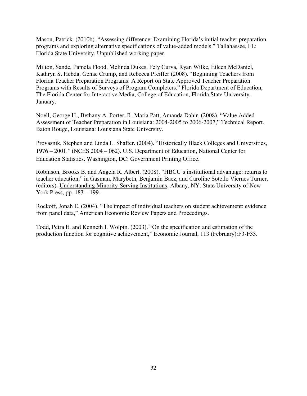Mason, Patrick. (2010b). "Assessing difference: Examining Florida's initial teacher preparation programs and exploring alternative specifications of value-added models." Tallahassee, FL: Florida State University. Unpublished working paper.

Milton, Sande, Pamela Flood, Melinda Dukes, Fely Curva, Ryan Wilke, Eileen McDaniel, Kathryn S. Hebda, Genae Crump, and Rebecca Pfeiffer (2008). "Beginning Teachers from Florida Teacher Preparation Programs: A Report on State Approved Teacher Preparation Programs with Results of Surveys of Program Completers." Florida Department of Education, The Florida Center for Interactive Media, College of Education, Florida State University. January.

Noell, George H., Bethany A. Porter, R. Maria Patt, Amanda Dahir. (2008). "Value Added Assessment of Teacher Preparation in Louisiana: 2004-2005 to 2006-2007," Technical Report. Baton Rouge, Louisiana: Louisiana State University.

Provasnik, Stephen and Linda L. Shafter. (2004). "Historically Black Colleges and Universities, 1976 – 2001." (NCES 2004 – 062). U.S. Department of Education, National Center for Education Statistics. Washington, DC: Government Printing Office.

Robinson, Brooks B. and Angela R. Albert. (2008). "HBCU's institutional advantage: returns to teacher education," in Gasman, Marybeth, Benjamin Baez, and Caroline Sotello Viernes Turner. (editors). Understanding Minority-Serving Institutions, Albany, NY: State University of New York Press, pp. 183 – 199.

Rockoff, Jonah E. (2004). "The impact of individual teachers on student achievement: evidence from panel data," American Economic Review Papers and Proceedings.

Todd, Petra E. and Kenneth I. Wolpin. (2003). "On the specification and estimation of the production function for cognitive achievement," Economic Journal, 113 (February):F3-F33.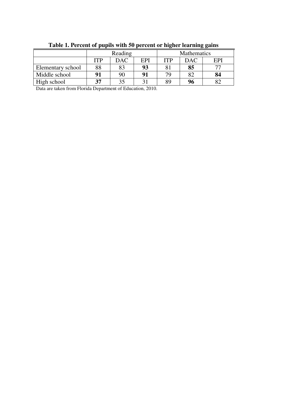| Table 1. Percent of pupils with 50 percent or higher learning gains |            |                                                      |    |    |    |    |  |  |  |  |
|---------------------------------------------------------------------|------------|------------------------------------------------------|----|----|----|----|--|--|--|--|
|                                                                     |            | Reading<br>Mathematics                               |    |    |    |    |  |  |  |  |
|                                                                     | <b>ITP</b> | <b>DAC</b><br>EPI<br><b>ITP</b><br><b>EPI</b><br>DAC |    |    |    |    |  |  |  |  |
| Elementary school                                                   | 88         | 83                                                   | 93 | 81 | 85 | 77 |  |  |  |  |
| Middle school                                                       | 91         | 90                                                   | 91 | 79 | 82 | 84 |  |  |  |  |
| High school                                                         | 37         | 35                                                   | 31 | 89 | 96 | 82 |  |  |  |  |

**Table 1. Percent of pupils with 50 percent or higher learning gains** 

Data are taken from Florida Department of Education, 2010.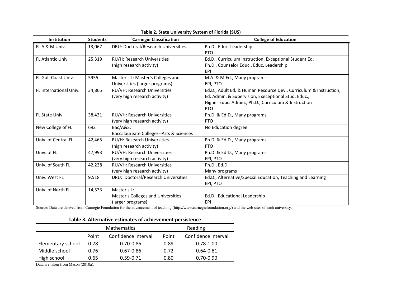| Institution              | <b>Students</b> | <b>Carnegie Classification</b>          | <b>College of Education</b>                                       |
|--------------------------|-----------------|-----------------------------------------|-------------------------------------------------------------------|
| FL A & M Univ.           | 13,067          | DRU: Doctoral/Research Universities     | Ph.D., Educ. Leadership                                           |
|                          |                 |                                         | PTO                                                               |
| <b>FL Atlantic Univ.</b> | 25,319          | RU/H: Research Universities             | Ed.D., Curriculum Instruction, Exceptional Student Ed.            |
|                          |                 | (high research activity)                | Ph.D., Counselor Educ., Educ. Leadership                          |
|                          |                 |                                         | EPI                                                               |
| FL Gulf Coast Univ.      | 5955            | Master's L: Master's Colleges and       | M.A. & M.Ed., Many programs                                       |
|                          |                 | Universities (larger programs)          | EPI, PTO                                                          |
| FL International Univ.   | 34,865          | RU/VH: Research Universities            | Ed.D., Adult Ed. & Human Resource Dev., Curriculum & Instruction, |
|                          |                 | (very high research activity)           | Ed. Admin. & Supervision, Execeptional Stud. Educ.,               |
|                          |                 |                                         | Higher Educ. Admin., Ph.D., Curriculum & Instruction              |
|                          |                 |                                         | <b>PTO</b>                                                        |
| FL State Univ.           | 38,431          | RU/VH: Research Universities            | Ph.D. & Ed.D., Many programs                                      |
|                          |                 | (very high research activity)           | <b>PTO</b>                                                        |
| New College of FL        | 692             | Bac/A&S:                                | No Education degree                                               |
|                          |                 | Baccalaureate Colleges--Arts & Sciences |                                                                   |
| Univ. of Central FL      | 42,465          | <b>RU/H: Research Universities</b>      | Ph.D. & Ed.D., Many programs                                      |
|                          |                 | (high research activity)                | <b>PTO</b>                                                        |
| Univ. of FL              | 47,993          | RU/VH: Research Universities            | Ph.D. & Ed.D., Many programs                                      |
|                          |                 | (very high research activity)           | EPI, PTO                                                          |
| Univ. of South FL        | 42,238          | RU/VH: Research Universities            | Ph.D., Ed.D.                                                      |
|                          |                 | (very high research activity)           | Many programs                                                     |
| Univ. West FL            | 9,518           | DRU: Doctoral/Research Universities     | Ed.D., Alternative/Special Education, Teaching and Learning       |
|                          |                 |                                         | EPI, PTO                                                          |
| Univ. of North FL        | 14,533          | Master's L:                             |                                                                   |
|                          |                 | Master's Colleges and Universities      | Ed.D., Educational Leadership                                     |
|                          |                 | (larger programs)                       | EPI                                                               |

#### **Table 2. State University System of Florida (SUS)**

Source: Data are derived from Carnegie Foundation for the advancement of teaching (http://www.carnegiefoundation.org/) and the web sites of each university.

# **Table 3. Alternative estimates of achievement persistence**

|                   |       | <b>Mathematics</b>  | Reading |                     |  |  |  |
|-------------------|-------|---------------------|---------|---------------------|--|--|--|
|                   | Point | Confidence interval | Point   | Confidence interval |  |  |  |
| Elementary school | 0.78  | 0.70-0.86           | 0.89    | $0.78 - 1.00$       |  |  |  |
| Middle school     | 0.76  | $0.67 - 0.86$       | 0.72    | $0.64 - 0.81$       |  |  |  |
| High school       | 0.65  | $0.59 - 0.71$       | 0.80    | $0.70 - 0.90$       |  |  |  |

Data are taken from Mason (2010a).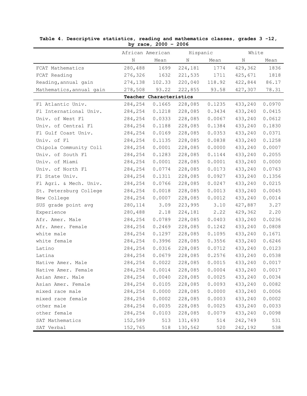|                          |                         | $\texttt{acc}$ , $\texttt{cov}$ |          |        |         |        |
|--------------------------|-------------------------|---------------------------------|----------|--------|---------|--------|
|                          | African American        |                                 | Hispanic |        | White   |        |
|                          | Ν                       | Mean                            | N        | Mean   | N       | Mean   |
| FCAT Mathematics         | 280,488                 | 1699                            | 224,181  | 1774   | 429,362 | 1836   |
| FCAT Reading             | 276,326                 | 1632                            | 221,535  | 1711   | 425,671 | 1818   |
| Reading, annual gain     | 274,138                 | 102.33                          | 220,040  | 118.92 | 422,844 | 86.17  |
| Mathematics, annual gain | 278,508                 | 93.22                           | 222,855  | 93.58  | 427,307 | 78.31  |
|                          | Teacher Characteristics |                                 |          |        |         |        |
| Fl Atlantic Univ.        | 284,254                 | 0.1665                          | 228,085  | 0.1235 | 433,240 | 0.0970 |
| Fl International Univ.   | 284,254                 | 0.1218                          | 228,085  | 0.3434 | 433,240 | 0.0415 |
| Univ. of West Fl         | 284,254                 | 0.0333                          | 228,085  | 0.0067 | 433,240 | 0.0612 |
| Univ. of Central Fl      | 284,254                 | 0.1188                          | 228,085  | 0.1384 | 433,240 | 0.1830 |
| Fl Gulf Coast Univ.      | 284,254                 | 0.0169                          | 228,085  | 0.0353 | 433,240 | 0.0371 |
| Univ. of Fl              | 284,254                 | 0.1135                          | 228,085  | 0.0838 | 433,240 | 0.1258 |
| Chipola Community Coll   | 284,254                 | 0.0001                          | 228,085  | 0.0000 | 433,240 | 0.0007 |
| Univ. of South Fl        | 284,254                 | 0.1283                          | 228,085  | 0.1144 | 433,240 | 0.2055 |
| Univ. of Miami           | 284,254                 | 0.0001                          | 228,085  | 0.0001 | 433,240 | 0.0000 |
| Univ. of North Fl        | 284,254                 | 0.0774                          | 228,085  | 0.0173 | 433,240 | 0.0763 |
| Fl State Univ.           | 284,254                 | 0.1311                          | 228,085  | 0.0927 | 433,240 | 0.1356 |
| Fl Agri. & Mech. Univ.   | 284,254                 | 0.0766                          | 228,085  | 0.0247 | 433,240 | 0.0215 |
| St. Petersburg College   | 284,254                 | 0.0018                          | 228,085  | 0.0013 | 433,240 | 0.0045 |
| New College              | 284,254                 | 0.0007                          | 228,085  | 0.0012 | 433,240 | 0.0014 |
| SUS grade point avg      | 280,114                 | 3.09                            | 223,995  | 3.10   | 427,887 | 3.27   |
| Experience               | 280,488                 | 2.18                            | 224,181  | 2.22   | 429,362 | 2.20   |
| Afr. Amer. Male          | 284,254                 | 0.0789                          | 228,085  | 0.0403 | 433,240 | 0.0236 |
| Afr. Amer. Female        | 284,254                 | 0.2469                          | 228,085  | 0.1242 | 433,240 | 0.0808 |
| white male               | 284,254                 | 0.1297                          | 228,085  | 0.1095 | 433,240 | 0.1671 |
| white female             | 284,254                 | 0.3996                          | 228,085  | 0.3556 | 433,240 | 0.6246 |
| Latino                   | 284,254                 | 0.0316                          | 228,085  | 0.0712 | 433,240 | 0.0123 |
| Latina                   | 284,254                 | 0.0679                          | 228,085  | 0.2576 | 433,240 | 0.0538 |
| Native Amer. Male        | 284,254                 | 0.0022                          | 228,085  | 0.0015 | 433,240 | 0.0017 |
| Native Amer. Female      | 284,254                 | 0.0014                          | 228,085  | 0.0004 | 433,240 | 0.0017 |
| Asian Amer. Male         | 284,254                 | 0.0040                          | 228,085  | 0.0025 | 433,240 | 0.0034 |
| Asian Amer. Female       | 284,254                 | 0.0105                          | 228,085  | 0.0093 | 433,240 | 0.0082 |
| mixed race male          | 284,254                 | 0.0000                          | 228,085  | 0.0000 | 433,240 | 0.0006 |
| mixed race female        | 284,254                 | 0.0002                          | 228,085  | 0.0003 | 433,240 | 0.0002 |
| other male               | 284,254                 | 0.0035                          | 228,085  | 0.0025 | 433,240 | 0.0033 |
| other female             | 284,254                 | 0.0103                          | 228,085  | 0.0079 | 433,240 | 0.0098 |
| SAT Mathematics          | 152,589                 | 513                             | 131,693  | 514    | 242,749 | 531    |
| SAT Verbal               | 152,765                 | 518                             | 130,562  | 520    | 242,192 | 538    |

**Table 4. Descriptive statistics, reading and mathematics classes, grades 3 -12, by race, 2000 – 2006**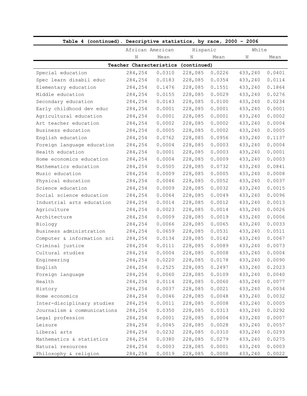| Table 4 (continued). Descriptive statistics, by race, 2000 - 2006 |         |                                     |          |        |         |        |
|-------------------------------------------------------------------|---------|-------------------------------------|----------|--------|---------|--------|
|                                                                   |         | African American                    | Hispanic |        | White   |        |
|                                                                   | Ν       | Mean                                | Ν        | Mean   | Ν       | Mean   |
|                                                                   |         | Teacher Characteristics (continued) |          |        |         |        |
| Special education                                                 | 284,254 | 0.0310                              | 228,085  | 0.0226 | 433,240 | 0.0401 |
| Spec learn disabil educ                                           | 284,254 | 0.0183                              | 228,085  | 0.0354 | 433,240 | 0.0114 |
| Elementary education                                              | 284,254 | 0.1476                              | 228,085  | 0.1551 | 433,240 | 0.1864 |
| Middle education                                                  | 284,254 | 0.0155                              | 228,085  | 0.0029 | 433,240 | 0.0276 |
| Secondary education                                               | 284,254 | 0.0143                              | 228,085  | 0.0100 | 433,240 | 0.0234 |
| Early childhood dev educ                                          | 284,254 | 0.0001                              | 228,085  | 0.0001 | 433,240 | 0.0001 |
| Agricultural education                                            | 284,254 | 0.0001                              | 228,085  | 0.0001 | 433,240 | 0.0002 |
| Art teacher education                                             | 284,254 | 0.0002                              | 228,085  | 0.0002 | 433,240 | 0.0004 |
| Business education                                                | 284,254 | 0.0005                              | 228,085  | 0.0002 | 433,240 | 0.0005 |
| English education                                                 | 284,254 | 0.0762                              | 228,085  | 0.0956 | 433,240 | 0.1137 |
| Foreign language education                                        | 284,254 | 0.0004                              | 228,085  | 0.0003 | 433,240 | 0.0004 |
| Health education                                                  | 284,254 | 0.0001                              | 228,085  | 0.0003 | 433,240 | 0.0001 |
| Home economics education                                          | 284,254 | 0.0004                              | 228,085  | 0.0009 | 433,240 | 0.0003 |
| Mathematics education                                             | 284,254 | 0.0505                              | 228,085  | 0.0732 | 433,240 | 0.0841 |
| Music education                                                   | 284,254 | 0.0009                              | 228,085  | 0.0005 | 433,240 | 0.0008 |
| Physical education                                                | 284,254 | 0.0046                              | 228,085  | 0.0052 | 433,240 | 0.0037 |
| Science education                                                 | 284,254 | 0.0009                              | 228,085  | 0.0032 | 433,240 | 0.0015 |
| Social science education                                          | 284,254 | 0.0064                              | 228,085  | 0.0049 | 433,240 | 0.0096 |
| Industrial arts education                                         | 284,254 | 0.0014                              | 228,085  | 0.0012 | 433,240 | 0.0013 |
| Agriculture                                                       | 284,254 | 0.0023                              | 228,085  | 0.0014 | 433,240 | 0.0026 |
| Architecture                                                      | 284,254 | 0.0009                              | 228,085  | 0.0019 | 433,240 | 0.0006 |
| Biology                                                           | 284,254 | 0.0066                              | 228,085  | 0.0065 | 433,240 | 0.0033 |
| Business administration                                           | 284,254 | 0.0659                              | 228,085  | 0.0531 | 433,240 | 0.0511 |
| Computer & information sci                                        | 284,254 | 0.0134                              | 228,085  | 0.0142 | 433,240 | 0.0067 |
| Criminal justice                                                  | 284,254 | 0.0111                              | 228,085  | 0.0089 | 433,240 | 0.0073 |
| Cultural studies                                                  | 284,254 | 0.0004                              | 228,085  | 0.0008 | 433,240 | 0.0004 |
| Engineering                                                       | 284,254 | 0.0220                              | 228,085  | 0.0178 | 433,240 | 0.0090 |
| English                                                           | 284,254 | 0.2525                              | 228,085  | 0.2497 | 433,240 | 0.2023 |
| Foreign language                                                  | 284,254 | 0.0060                              | 228,085  | 0.0109 | 433,240 | 0.0040 |
| Health                                                            | 284,254 | 0.0114                              | 228,085  | 0.0060 | 433,240 | 0.0077 |
| History                                                           | 284,254 | 0.0037                              | 228,085  | 0.0021 | 433,240 | 0.0034 |
| Home economics                                                    | 284,254 | 0.0046                              | 228,085  | 0.0048 | 433,240 | 0.0032 |
| Inter-disciplinary studies                                        | 284,254 | 0.0011                              | 228,085  | 0.0008 | 433,240 | 0.0005 |
| Journalism & communications                                       | 284,254 | 0.0350                              | 228,085  | 0.0313 | 433,240 | 0.0292 |
| Legal profession                                                  | 284,254 | 0.0001                              | 228,085  | 0.0004 | 433,240 | 0.0007 |
| Leisure                                                           | 284,254 | 0.0045                              | 228,085  | 0.0028 | 433,240 | 0.0057 |
| Liberal arts                                                      | 284,254 | 0.0232                              | 228,085  | 0.0310 | 433,240 | 0.0293 |
| Mathematics & statistics                                          | 284,254 | 0.0380                              | 228,085  | 0.0279 | 433,240 | 0.0275 |
| Natural resources                                                 | 284,254 | 0.0003                              | 228,085  | 0.0001 | 433,240 | 0.0003 |
| Philosophy & religion                                             | 284,254 | 0.0019                              | 228,085  | 0.0008 | 433,240 | 0.0022 |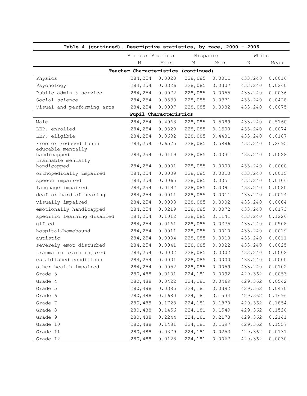| Table 4 (continued). Descriptive statistics, by race, 2000 - 2006 |                                     |        |          |        |         |        |  |
|-------------------------------------------------------------------|-------------------------------------|--------|----------|--------|---------|--------|--|
|                                                                   | African American                    |        | Hispanic |        | White   |        |  |
|                                                                   | N                                   | Mean   | N        | Mean   | N       | Mean   |  |
|                                                                   | Teacher Characteristics (continued) |        |          |        |         |        |  |
| Physics                                                           | 284,254                             | 0.0020 | 228,085  | 0.0011 | 433,240 | 0.0016 |  |
| Psychology                                                        | 284,254                             | 0.0326 | 228,085  | 0.0307 | 433,240 | 0.0240 |  |
| Public admin & service                                            | 284,254                             | 0.0072 | 228,085  | 0.0055 | 433,240 | 0.0036 |  |
| Social science                                                    | 284,254                             | 0.0530 | 228,085  | 0.0371 | 433,240 | 0.0428 |  |
| Visual and performing arts                                        | 284,254                             | 0.0087 | 228,085  | 0.0082 | 433,240 | 0.0075 |  |
|                                                                   | Pupil Characteristics               |        |          |        |         |        |  |
| Male                                                              | 284,254                             | 0.4963 | 228,085  | 0.5089 | 433,240 | 0.5160 |  |
| LEP, enrolled                                                     | 284,254                             | 0.0320 | 228,085  | 0.1500 | 433,240 | 0.0074 |  |
| LEP, eligible                                                     | 284,254                             | 0.0632 | 228,085  | 0.4481 | 433,240 | 0.0187 |  |
| Free or reduced lunch                                             | 284,254                             | 0.6575 | 228,085  | 0.5986 | 433,240 | 0.2695 |  |
| educable mentally<br>handicapped                                  | 284,254                             | 0.0119 | 228,085  | 0.0031 | 433,240 | 0.0028 |  |
| trainable mentally                                                |                                     |        |          |        |         |        |  |
| handicapped                                                       | 284,254                             | 0.0001 | 228,085  | 0.0000 | 433,240 | 0.0000 |  |
| orthopedically impaired                                           | 284,254                             | 0.0009 | 228,085  | 0.0010 | 433,240 | 0.0015 |  |
| speech impaired                                                   | 284,254                             | 0.0065 | 228,085  | 0.0051 | 433,240 | 0.0106 |  |
| language impaired                                                 | 284,254                             | 0.0197 | 228,085  | 0.0091 | 433,240 | 0.0080 |  |
| deaf or hard of hearing                                           | 284,254                             | 0.0011 | 228,085  | 0.0011 | 433,240 | 0.0014 |  |
| visually impaired                                                 | 284,254                             | 0.0003 | 228,085  | 0.0002 | 433,240 | 0.0004 |  |
| emotionally handicapped                                           | 284,254                             | 0.0219 | 228,085  | 0.0072 | 433,240 | 0.0173 |  |
| specific learning disabled                                        | 284,254                             | 0.1012 | 228,085  | 0.1141 | 433,240 | 0.1226 |  |
| gifted                                                            | 284,254                             | 0.0161 | 228,085  | 0.0375 | 433,240 | 0.0508 |  |
| hospital/homebound                                                | 284,254                             | 0.0011 | 228,085  | 0.0010 | 433,240 | 0.0019 |  |
| autistic                                                          | 284,254                             | 0.0004 | 228,085  | 0.0010 | 433,240 | 0.0011 |  |
| severely emot disturbed                                           | 284,254                             | 0.0041 | 228,085  | 0.0022 | 433,240 | 0.0025 |  |
| traumatic brain injured                                           | 284,254                             | 0.0002 | 228,085  | 0.0002 | 433,240 | 0.0002 |  |
| established conditions                                            | 284,254                             | 0.0001 | 228,085  | 0.0000 | 433,240 | 0.0000 |  |
| other health impaired                                             | 284,254                             | 0.0052 | 228,085  | 0.0059 | 433,240 | 0.0102 |  |
| Grade 3                                                           | 280,488                             | 0.0101 | 224,181  | 0.0092 | 429,362 | 0.0053 |  |
| Grade 4                                                           | 280,488                             | 0.0422 | 224,181  | 0.0469 | 429,362 | 0.0542 |  |
| Grade 5                                                           | 280,488                             | 0.0385 | 224,181  | 0.0392 | 429,362 | 0.0470 |  |
| Grade 6                                                           | 280,488                             | 0.1680 | 224,181  | 0.1534 | 429,362 | 0.1696 |  |
| Grade 7                                                           | 280,488                             | 0.1723 | 224,181  | 0.1870 | 429,362 | 0.1854 |  |
| Grade 8                                                           | 280,488                             | 0.1456 | 224,181  | 0.1549 | 429,362 | 0.1526 |  |
| Grade 9                                                           | 280,488                             | 0.2244 | 224,181  | 0.2178 | 429,362 | 0.2141 |  |
| Grade 10                                                          | 280,488                             | 0.1481 | 224,181  | 0.1597 | 429,362 | 0.1557 |  |
| Grade 11                                                          | 280,488                             | 0.0379 | 224,181  | 0.0253 | 429,362 | 0.0131 |  |
| Grade 12                                                          | 280,488                             | 0.0128 | 224,181  | 0.0067 | 429,362 | 0.0030 |  |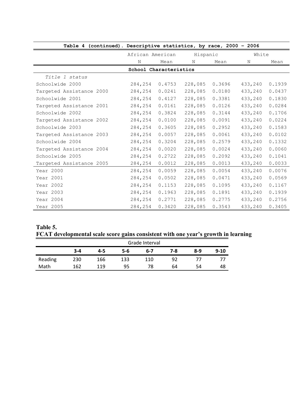| Table 4 (continued). Descriptive statistics, by race, 2000 - 2006 |                        |        |          |        |         |        |
|-------------------------------------------------------------------|------------------------|--------|----------|--------|---------|--------|
|                                                                   | African American       |        | Hispanic |        | White   |        |
|                                                                   | N                      | Mean   | N        | Mean   | N       | Mean   |
|                                                                   | School Characteristics |        |          |        |         |        |
| Title 1 status                                                    |                        |        |          |        |         |        |
| Schoolwide 2000                                                   | 284,254                | 0.4753 | 228,085  | 0.3696 | 433,240 | 0.1939 |
| Targeted Assistance 2000                                          | 284,254                | 0.0241 | 228,085  | 0.0180 | 433,240 | 0.0437 |
| Schoolwide 2001                                                   | 284,254                | 0.4127 | 228,085  | 0.3381 | 433,240 | 0.1830 |
| Targeted Assistance 2001                                          | 284,254                | 0.0161 | 228,085  | 0.0126 | 433,240 | 0.0284 |
| Schoolwide 2002                                                   | 284,254                | 0.3824 | 228,085  | 0.3144 | 433,240 | 0.1706 |
| Targeted Assistance 2002                                          | 284,254                | 0.0100 | 228,085  | 0.0091 | 433,240 | 0.0224 |
| Schoolwide 2003                                                   | 284,254                | 0.3605 | 228,085  | 0.2952 | 433,240 | 0.1583 |
| Targeted Assistance 2003                                          | 284,254                | 0.0057 | 228,085  | 0.0061 | 433,240 | 0.0102 |
| Schoolwide 2004                                                   | 284,254                | 0.3204 | 228,085  | 0.2579 | 433,240 | 0.1332 |
| Targeted Assistance 2004                                          | 284,254                | 0.0020 | 228,085  | 0.0024 | 433,240 | 0.0060 |
| Schoolwide 2005                                                   | 284,254                | 0.2722 | 228,085  | 0.2092 | 433,240 | 0.1041 |
| Targeted Assistance 2005                                          | 284,254                | 0.0012 | 228,085  | 0.0013 | 433,240 | 0.0033 |
| Year 2000                                                         | 284,254                | 0.0059 | 228,085  | 0.0054 | 433,240 | 0.0076 |
| Year 2001                                                         | 284,254                | 0.0502 | 228,085  | 0.0471 | 433,240 | 0.0569 |
| Year 2002                                                         | 284,254                | 0.1153 | 228,085  | 0.1095 | 433,240 | 0.1167 |
| Year 2003                                                         | 284,254                | 0.1963 | 228,085  | 0.1891 | 433,240 | 0.1939 |
| Year 2004                                                         | 284,254                | 0.2771 | 228,085  | 0.2775 | 433,240 | 0.2756 |
| Year 2005                                                         | 284,254                | 0.3420 | 228,085  | 0.3543 | 433,240 | 0.3405 |

# **Table 5. FCAT developmental scale score gains consistent with one year's growth in learning**

|         | Grade Interval |         |     |     |     |     |        |  |  |  |
|---------|----------------|---------|-----|-----|-----|-----|--------|--|--|--|
|         | $3 - 4$        | $4 - 5$ | 5-6 | 6-7 | 7-8 | 8-9 | $9-10$ |  |  |  |
| Reading | 230            | 166     | 133 | 110 | 92  |     |        |  |  |  |
| Math    | 162            | 119     | 95  | 78  | 64  | 54  | 48     |  |  |  |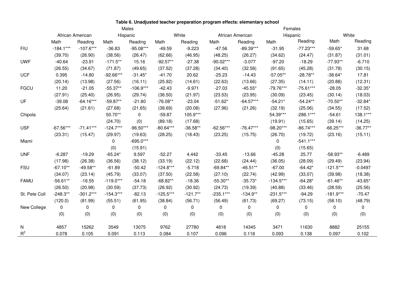|               | Males       |                  |             |             |             |            |             | Females          |             |             |             |            |  |  |
|---------------|-------------|------------------|-------------|-------------|-------------|------------|-------------|------------------|-------------|-------------|-------------|------------|--|--|
|               |             | African American |             | Hispanic    |             | White      |             | African American |             | Hispanic    |             | White      |  |  |
|               | Math        | Reading          | Math        | Reading     | Math        | Reading    | Math        | Reading          | Math        | Reading     | Math        | Reading    |  |  |
| <b>FIU</b>    | $-184.1***$ | $-107.6***$      | $-36.83$    | $-95.08***$ | $-49.59$    | $-9.223$   | $-47.56$    | $-89.39***$      | $-31.95$    | $-77.23***$ | $-59.65*$   | 31.68      |  |  |
|               | (39.70)     | (26.90)          | (38.56)     | (26.47)     | (62.66)     | (46.95)    | (48.25)     | (26.27)          | (34.62)     | (24.47)     | (31.87)     | (31.01)    |  |  |
| <b>UWF</b>    | $-40.64$    | $-23.91$         | $-171.5**$  | 15.16       | $-92.57**$  | $-27.38$   | $-90.02***$ | $-3.077$         | $-97.20$    | $-18.29$    | $-77.93**$  | $-6.710$   |  |  |
|               | (26.55)     | (34.67)          | (71.87)     | (49.65)     | (37.52)     | (37.28)    | (34.40)     | (32.58)          | (91.65)     | (45.28)     | (31.78)     | (30.15)    |  |  |
| <b>UCF</b>    | 0.395       | $-14.80$         | $-92.66***$ | $-31.45*$   | $-41.70$    | 20.62      | $-25.23$    | $-14.43$         | $-57.05**$  | $-28.78**$  | $-38.64*$   | 17.81      |  |  |
|               | (20.14)     | (13.98)          | (27.56)     | (16.11)     | (25.92)     | (14.61)    | (22.63)     | (13.66)          | (27.35)     | (14.11)     | (20.88)     | (12.31)    |  |  |
| <b>FGCU</b>   | 11.20       | $-21.05$         | $-55.37**$  | $-106.9***$ | $-42.43$    | $-9.971$   | $-27.03$    | $-45.55*$        | $-79.76***$ | $-75.61***$ | $-28.05$    | $-32.35*$  |  |  |
|               | (27.91)     | (25.40)          | (26.95)     | (29.74)     | (36.50)     | (21.97)    | (23.53)     | (23.95)          | (30.09)     | (23.45)     | (30.14)     | (18.03)    |  |  |
| UF            | $-39.08$    | $-64.16***$      | $-59.87**$  | $-21.80$    | $-76.08**$  | $-23.04$   | $-51.62*$   | $-64.57***$      | $-54.21*$   | $-54.24**$  | $-70.50**$  | $-32.84*$  |  |  |
|               | (25.64)     | (21.61)          | (27.68)     | (21.65)     | (38.69)     | (20.08)    | (27.96)     | (21.26)          | (32.19)     | (25.06)     | (34.55)     | (17.52)    |  |  |
| Chipola       |             |                  | 50.70**     | $\mathbf 0$ | $-59.87$    | 105.9***   |             |                  | 54.39***    | $-286.1***$ | $-54.61$    | 138.1***   |  |  |
|               |             |                  | (24.70)     | (0)         | (89.18)     | (17.68)    |             |                  | (19.91)     | (15.65)     | (39.14)     | (14.25)    |  |  |
| <b>USF</b>    | $-67.56***$ | $-71.41***$      | $-124.7***$ | $-96.50***$ | $-80.64***$ | $-36.58**$ | $-62.56***$ | $-76.47***$      | $-98.20***$ | $-86.74***$ | $-66.25***$ | $-36.77**$ |  |  |
|               | (23.31)     | (15.47)          | (29.97)     | (19.63)     | (28.25)     | (18.43)    | (23.25)     | (15.75)          | (26.70)     | (19.72)     | (23.16)     | (15.11)    |  |  |
| Miami         |             |                  | 0           | $-695.0***$ |             |            |             |                  | 0           | $-541.1***$ |             |            |  |  |
|               |             |                  | (0)         | (15.91)     |             |            |             |                  | (0)         | (15.65)     |             |            |  |  |
| <b>UNF</b>    | $-6.287$    | $-19.29$         | $-65.24*$   | 9.597       | $-52.27$    | 4.442      | $-33.45$    | $-13.66$         | $-45.28$    | 25.77       | $-58.93**$  | $-6.489$   |  |  |
|               | (17.98)     | (26.38)          | (36.56)     | (38.12)     | (33.19)     | (22.12)    | (22.68)     | (24.44)          | (36.05)     | (28.09)     | (29.49)     | (23.94)    |  |  |
| <b>FSU</b>    | $-67.10**$  | $-49.58**$       | $-61.89$    | $-50.42$    | $-124.8***$ | $-5.718$   | $-69.84**$  | $-46.51**$       | $-67.00$    | $-64.42*$   | $-121.5***$ | $-0.0497$  |  |  |
|               | (34.07)     | (23.14)          | (45.79)     | (33.07)     | (37.50)     | (22.58)    | (27.10)     | (22.74)          | (42.99)     | (33.07)     | (39.98)     | (18.38)    |  |  |
| <b>FAMU</b>   | $-56.61**$  | $-16.55$         | $-119.0***$ | $-54.18$    | $-68.82**$  | $-18.36$   | $-55.30**$  | $-35.73*$        | $-134.5***$ | $-64.28*$   | $-61.46**$  | $-43.65*$  |  |  |
|               | (26.50)     | (20.98)          | (30.59)     | (37.73)     | (26.92)     | (30.92)    | (24.73)     | (19.39)          | (40.88)     | (33.46)     | (28.59)     | (25.56)    |  |  |
| St. Pete Coll | $-248.3**$  | $-301.2***$      | $-154.3***$ | $-82.13$    | $-125.5***$ | $-121.7**$ | $-235.1***$ | $-134.9**$       | $-231.5***$ | $-94.29$    | $-181.9***$ | $-70.47$   |  |  |
|               | (120.0)     | (81.99)          | (55.51)     | (61.95)     | (38.84)     | (56.71)    | (56.49)     | (61.73)          | (69.27)     | (73.15)     | (58.10)     | (48.79)    |  |  |
| New College   | 0           | 0                | 0           | 0           | 0           | 0          | 0           | 0                | $\mathbf 0$ | 0           | 0           | 0          |  |  |
|               | (0)         | (0)              | (0)         | (0)         | (0)         | (0)        | (0)         | (0)              | (0)         | (0)         | (0)         | (0)        |  |  |
| N             | 4857        | 15262            | 3549        | 13075       | 9762        | 27780      | 4818        | 14345            | 3471        | 11630       | 8882        | 25155      |  |  |
| $R^2$         | 0.078       | 0.105            | 0.091       | 0.113       | 0.084       | 0.107      | 0.096       | 0.118            | 0.093       | 0.138       | 0.097       | 0.102      |  |  |

## **Table 6. Unadjusted teacher preparation program effects: elementary school**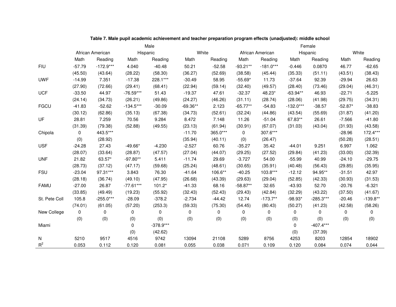|               | Male        |                  |             |             |            |          |            | Female           |             |             |              |            |  |  |
|---------------|-------------|------------------|-------------|-------------|------------|----------|------------|------------------|-------------|-------------|--------------|------------|--|--|
|               |             | African American |             | Hispanic    | White      |          |            | African American |             | Hispanic    |              | White      |  |  |
|               | Math        | Reading          | Math        | Reading     | Math       | Reading  | Math       | Reading          | Math        | Reading     | Math         | Reading    |  |  |
| <b>FIU</b>    | $-57.79$    | $-172.9***$      | 4.040       | $-40.48$    | 50.21      | $-52.58$ | $-93.21**$ | $-181.0***$      | $-0.446$    | 0.0870      | 46.77        | $-62.65$   |  |  |
|               | (45.50)     | (43.64)          | (28.22)     | (58.30)     | (36.27)    | (52.69)  | (38.58)    | (45.44)          | (35.33)     | (51.11)     | (43.51)      | (38.43)    |  |  |
| <b>UWF</b>    | $-14.99$    | 7.351            | $-17.38$    | 228.1***    | $-30.49$   | 58.95    | $-55.69*$  | 11.73            | $-37.64$    | 92.39       | $-29.94$     | 26.63      |  |  |
|               | (27.90)     | (72.66)          | (29.41)     | (68.41)     | (22.94)    | (59.14)  | (32.40)    | (49.57)          | (28.40)     | (73.46)     | (29.04)      | (46.31)    |  |  |
| <b>UCF</b>    | $-33.50$    | 44.97            | $-76.59***$ | 51.43       | $-19.37$   | 47.61    | $-32.37$   | 48.23*           | $-63.94**$  | 46.93       | $-22.71$     | $-5.225$   |  |  |
|               | (24.14)     | (34.73)          | (26.21)     | (49.86)     | (24.27)    | (46.26)  | (31.11)    | (28.74)          | (28.06)     | (41.98)     | (29.75)      | (34.31)    |  |  |
| <b>FGCU</b>   | $-41.83$    | $-52.62$         | $-134.5***$ | $-30.09$    | $-69.36**$ | 2.123    | $-65.77**$ | $-54.83$         | $-132.0***$ | $-38.57$    | $-52.87*$    | $-38.83$   |  |  |
|               | (30.12)     | (62.86)          | (35.13)     | (67.38)     | (34.73)    | (52.61)  | (32.24)    | (44.86)          | (43.54)     | (55.69)     | (31.87)      | (41.20)    |  |  |
| UF            | 28.81       | 7.259            | 70.56       | 9.284       | 8.472      | 7.148    | 11.26      | $-51.04$         | 67.83**     | 26.61       | $-7.566$     | $-41.80$   |  |  |
|               | (31.39)     | (79.38)          | (52.88)     | (49.55)     | (23.13)    | (61.94)  | (30.91)    | (67.07)          | (31.03)     | (43.04)     | (31.93)      | (43.58)    |  |  |
| Chipola       | 0           | 443.5***         |             |             | $-11.70$   | 365.0*** | 0          | 307.6***         |             |             | $-28.96$     | 172.4***   |  |  |
|               | (0)         | (28.92)          |             |             | (35.94)    | (40.11)  | (0)        | (26.47)          |             |             | (50.28)      | (28.51)    |  |  |
| <b>USF</b>    | $-24.28$    | 27.43            | $-49.66*$   | $-4.230$    | $-2.527$   | 60.76    | $-35.27$   | 35.42            | $-44.01$    | 9.251       | 6.997        | 1.062      |  |  |
|               | (28.07)     | (33.64)          | (28.87)     | (47.57)     | (27.04)    | (44.07)  | (29.25)    | (27.52)          | (29.84)     | (41.23)     | (33.00)      | (32.39)    |  |  |
| <b>UNF</b>    | 21.82       | 63.57*           | $-97.80**$  | 5.411       | $-11.74$   | 29.69    | $-3.727$   | 54.00            | $-55.99$    | 40.99       | $-24.10$     | $-29.75$   |  |  |
|               | (28.73)     | (37.12)          | (47.17)     | (59.68)     | (25.24)    | (48.61)  | (30.65)    | (35.91)          | (40.48)     | (56.43)     | (29.85)      | (35.95)    |  |  |
| <b>FSU</b>    | $-23.04$    | 97.31***         | 3.843       | 76.30       | $-41.64$   | 106.6**  | $-40.25$   | 103.8***         | $-12.12$    | 94.95**     | $-31.51$     | 42.97      |  |  |
|               | (28.18)     | (36.74)          | (49.10)     | (47.95)     | (26.68)    | (43.39)  | (29.63)    | (29.04)          | (52.85)     | (42.33)     | (30.93)      | (31.53)    |  |  |
| <b>FAMU</b>   | $-27.00$    | 26.87            | $-77.61***$ | $101.2*$    | $-41.33$   | 68.16    | $-58.87**$ | 32.65            | $-43.93$    | 52.70       | $-20.76$     | $-6.321$   |  |  |
|               | (33.85)     | (49.49)          | (19.23)     | (55.92)     | (32.43)    | (52.43)  | (29.43)    | (42.84)          | (32.29)     | (43.22)     | (37.50)      | (41.67)    |  |  |
| St. Pete Coll | 105.8       | $-255.0***$      | $-28.09$    | $-378.2$    | $-2.734$   | $-44.42$ | 12.74      | $-173.7**$       | $-98.93*$   | $-285.3***$ | $-20.46$     | $-139.8**$ |  |  |
|               | (74.01)     | (61.05)          | (57.20)     | (253.3)     | (59.33)    | (75.30)  | (54.45)    | (80.43)          | (50.27)     | (41.23)     | (42.58)      | (58.26)    |  |  |
| New College   | $\mathbf 0$ | 0                | 0           | 0           | 0          | 0        | 0          | 0                | 0           | 0           | $\mathbf{0}$ | 0          |  |  |
|               | (0)         | (0)              | (0)         | (0)         | (0)        | (0)      | (0)        | (0)              | (0)         | (0)         | (0)          | (0)        |  |  |
| Miami         |             |                  | $\Omega$    | $-378.9***$ |            |          |            |                  | $\mathbf 0$ | $-407.4***$ |              |            |  |  |
|               |             |                  | (0)         | (42.62)     |            |          |            |                  | (0)         | (37.39)     |              |            |  |  |
| N             | 5210        | 9517             | 4516        | 9742        | 13094      | 21108    | 5289       | 8756             | 4253        | 8203        | 12854        | 18902      |  |  |
| $R^2$         | 0.053       | 0.112            | 0.120       | 0.081       | 0.055      | 0.038    | 0.071      | 0.109            | 0.120       | 0.084       | 0.074        | 0.044      |  |  |

**Table 7. Male pupil academic achievement and teacher preparation program effects (unadjusted): middle school**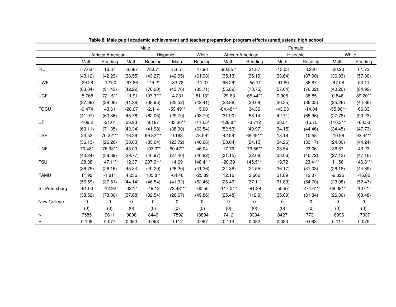|                | Male      |                  |          |          |             |           |                  | Female   |          |             |             |           |  |
|----------------|-----------|------------------|----------|----------|-------------|-----------|------------------|----------|----------|-------------|-------------|-----------|--|
|                |           | African American |          |          | Hispanic    | White     | African American |          |          | Hispanic    | White       |           |  |
|                | Math      | Reading          | Math     | Reading  | Math        | Reading   | Math             | Reading  | Math     | Reading     | Math        | Reading   |  |
| <b>FIU</b>     | $-77.63*$ | 16.87            | $-6.687$ | 78.07*   | $-53.57$    | 47.98     | $-90.85**$       | 21.87    | $-13.03$ | 8.220       | $-30.20$    | 61.72     |  |
|                | (43.12)   | (42.23)          | (38.55)  | (43.27)  | (42.95)     | (61.98)   | (35.13)          | (36.19)  | (33.64)  | (37.90)     | (36.93)     | (57.80)   |  |
| <b>UWF</b>     | $-29.26$  | $-121.0$         | $-67.86$ | $144.2*$ | $-33.78$    | $-11.37$  | $-96.26*$        | $-55.11$ | $-91.80$ | 86.87       | $-47.08$    | 53.11     |  |
|                | (83.04)   | (91.43)          | (42.22)  | (76.20)  | (43.76)     | (85.71)   | (55.89)          | (73.75)  | (57.04)  | (76.02)     | (40.20)     | (84.92)   |  |
| <b>UCF</b>     | $-5.768$  | 72.15**          | $-11.91$ | 107.3*** | $-4.231$    | $81.13*$  | $-29.63$         | 65.44**  | 0.905    | 38.85       | 0.846       | 89.20**   |  |
|                | (37.39)   | (28.06)          | (41.36)  | (38.95)  | (25.52)     | (42.41)   | (23.88)          | (26.08)  | (36.35)  | (36.05)     | (25.26)     | (44.86)   |  |
| <b>FGCU</b>    | $-9.474$  | 43.61            | $-28.07$ | $-2.114$ | $-59.49**$  | 15.00     | $-84.48***$      | 34.36    | $-43.93$ | $-14.04$    | $-55.96**$  | 66.83     |  |
|                | (41.97)   | (63.36)          | (45.76)  | (62.05)  | (29.79)     | (93.70)   | (31.90)          | (53.14)  | (42.71)  | (65.96)     | (27.78)     | (90.23)   |  |
| UF             | $-109.2$  | $-21.01$         | 36.93    | 9.187    | $-83.30**$  | $-113.5*$ | $-128.8**$       | $-3.712$ | 38.51    | $-15.75$    | $-110.3***$ | $-68.53$  |  |
|                | (69.11)   | (71.35)          | (42.34)  | (41.98)  | (38.90)     | (63.54)   | (52.53)          | (49.97)  | (34.15)  | (44.46)     | (34.45)     | (47.73)   |  |
| <b>USF</b>     | 23.53     | 70.32***         | 16.26    | 99.82*** | 0.163       | 78.59*    | $-42.56*$        | 68.49*** | 13.16    | 10.58       | $-10.96$    | 93.44**   |  |
|                | (36.13)   | (26.26)          | (38.03)  | (35.64)  | (23.72)     | (40.66)   | (23.04)          | (24.15)  | (34.26)  | (33.17)     | (24.00)     | (44.24)   |  |
| <b>UNF</b>     | 70.48*    | 76.93**          | 43.00    | 103.0**  | 60.47**     | 46.04     | 17.79            | 79.56**  | 28.54    | 23.06       | 36.57       | 43.23     |  |
|                | (40.24)   | (38.89)          | (39.77)  | (46.97)  | (27.40)     | (46.82)   | (31.15)          | (32.08)  | (33.06)  | (40.72)     | (27.13)     | (47.16)   |  |
| <b>FSU</b>     | 28.38     | 147.1***         | 12.37    | 207.9*** | 14.69       | 148.4***  | $-20.39$         | 145.5*** | 19.72    | 123.4***    | 11.56       | 146.8***  |  |
|                | (36.75)   | (26.16)          | (45.84)  | (40.29)  | (26.20)     | (41.36)   | (24.38)          | (24.55)  | (36.17)  | (37.03)     | (26.18)     | (44.89)   |  |
| <b>FAMU</b>    | 11.92     | $-1.811$         | 4.236    | 105.8**  | $-64.40$    | $-25.89$  | 12.16            | 3.662    | 31.89    | 12.37       | $-9.026$    | $-16.82$  |  |
|                | (56.59)   | (37.51)          | (44.14)  | (46.54)  | (41.92)     | (52.46)   | (26.46)          | (37.11)  | (31.89)  | (54.70)     | (23.08)     | (52.47)   |  |
| St. Petersburg | $-61.00$  | $-12.92$         | $-32.14$ | $-49.12$ | $-72.43***$ | $-60.56$  | $-117.0***$      | $-91.39$ | $-55.97$ | $-274.6***$ | $-68.08***$ | $-107.1*$ |  |
|                | (38.52)   | (73.80)          | (37.68)  | (32.54)  | (26.67)     | (49.86)   | (25.48)          | (112.9)  | (35.09)  | (31.34)     | (26.30)     | (63.48)   |  |
| New College    | 0         | 0                | 0        | 0        | 0           | 0         | 0                | 0        | 0        | 0           | 0           | 0         |  |
|                | (0)       | (0)              | (0)      | (0)      | (0)         | (0)       | (0)              | (0)      | (0)      | (0)         | (0)         | (0)       |  |
| N              | 7585      | 9611             | 9098     | 8440     | 17892       | 18894     | 7412             | 9394     | 8427     | 7731        | 16996       | 17037     |  |
| $R^2$          | 0.108     | 0.077            | 0.063    | 0.093    | 0.112       | 0.087     | 0.113            | 0.082    | 0.080    | 0.093       | 0.117       | 0.075     |  |

**Table 8. Male pupil academic achievement and teacher preparation program effects (unadjusted): high school**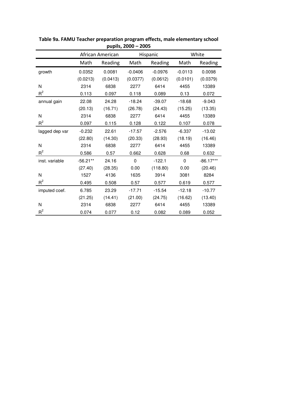| pupns, zooo<br>יטע |            |                  |             |           |           |             |  |  |  |  |
|--------------------|------------|------------------|-------------|-----------|-----------|-------------|--|--|--|--|
|                    |            | African American |             | White     |           |             |  |  |  |  |
|                    | Math       | Reading          | Math        | Reading   | Math      | Reading     |  |  |  |  |
| growth             | 0.0352     | 0.0081           | $-0.0406$   | $-0.0976$ | $-0.0113$ | 0.0098      |  |  |  |  |
|                    | (0.0213)   | (0.0413)         | (0.0377)    | (0.0612)  | (0.0101)  | (0.0379)    |  |  |  |  |
| N                  | 2314       | 6838             | 2277        | 6414      | 4455      | 13389       |  |  |  |  |
| $R^2$              | 0.113      | 0.097            | 0.118       | 0.089     | 0.13      | 0.072       |  |  |  |  |
| annual gain        | 22.08      | 24.28            | $-18.24$    | $-39.07$  | $-18.68$  | $-9.043$    |  |  |  |  |
|                    | (20.13)    | (16.71)          | (26.78)     | (24.43)   | (15.25)   | (13.35)     |  |  |  |  |
| N                  | 2314       | 6838             | 2277        | 6414      | 4455      | 13389       |  |  |  |  |
| $R^2$              | 0.097      | 0.115            | 0.128       | 0.122     | 0.107     | 0.078       |  |  |  |  |
| lagged dep var     | $-0.232$   | 22.61            | $-17.57$    | $-2.576$  | $-6.337$  | $-13.02$    |  |  |  |  |
|                    | (22.80)    | (14.30)          | (20.33)     | (28.93)   | (18.19)   | (16.46)     |  |  |  |  |
| N                  | 2314       | 6838             | 2277        | 6414      | 4455      | 13389       |  |  |  |  |
| $R^2$              | 0.586      | 0.57             | 0.662       | 0.628     | 0.68      | 0.632       |  |  |  |  |
| inst. variable     | $-56.21**$ | 24.16            | $\mathbf 0$ | $-122.1$  | 0         | $-86.17***$ |  |  |  |  |
|                    | (27.40)    | (28.35)          | 0.00        | (118.80)  | 0.00      | (20.46)     |  |  |  |  |
| N                  | 1527       | 4136             | 1635        | 3914      | 3081      | 8284        |  |  |  |  |
| $R^2$              | 0.495      | 0.508            | 0.57        | 0.577     | 0.619     | 0.577       |  |  |  |  |
| imputed coef.      | 6.785      | 23.29            | $-17.71$    | $-15.54$  | $-12.18$  | $-10.77$    |  |  |  |  |
|                    | (21.25)    | (14.41)          | (21.00)     | (24.75)   | (16.62)   | (13.40)     |  |  |  |  |
| N                  | 2314       | 6838             | 2277        | 6414      | 4455      | 13389       |  |  |  |  |
| $R^2$              | 0.074      | 0.077            | 0.12        | 0.082     | 0.089     | 0.052       |  |  |  |  |

**Table 9a. FAMU Teacher preparation program effects, male elementary school pupils, 2000 – 2005**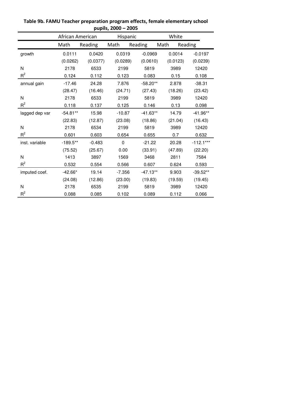|                | White<br>African American<br>Hispanic |          |          |            |          |             |  |
|----------------|---------------------------------------|----------|----------|------------|----------|-------------|--|
|                | Math                                  | Reading  | Math     | Reading    | Math     | Reading     |  |
| growth         | 0.0111                                | 0.0420   | 0.0319   | $-0.0969$  | 0.0014   | $-0.0197$   |  |
|                | (0.0262)                              | (0.0377) | (0.0289) | (0.0610)   | (0.0123) | (0.0239)    |  |
| N              | 2178                                  | 6533     | 2199     | 5819       | 3989     | 12420       |  |
| $R^2$          | 0.124                                 | 0.112    | 0.123    | 0.083      | 0.15     | 0.108       |  |
| annual gain    | $-17.46$                              | 24.28    | 7.876    | $-58.20**$ | 2.878    | $-38.31$    |  |
|                | (28.47)                               | (16.46)  | (24.71)  | (27.43)    | (18.26)  | (23.42)     |  |
| N              | 2178                                  | 6533     | 2199     | 5819       | 3989     | 12420       |  |
| $R^2$          | 0.118                                 | 0.137    | 0.125    | 0.146      | 0.13     | 0.098       |  |
| lagged dep var | $-54.81**$                            | 15.98    | $-10.87$ | $-41.63**$ | 14.79    | $-41.96**$  |  |
|                | (22.83)                               | (12.87)  | (23.08)  | (18.86)    | (21.04)  | (16.43)     |  |
| N              | 2178                                  | 6534     | 2199     | 5819       | 3989     | 12420       |  |
| $R^2$          | 0.601                                 | 0.603    | 0.654    | 0.655      | 0.7      | 0.632       |  |
| inst. variable | $-189.5**$                            | $-0.483$ | 0        | $-21.22$   | 20.28    | $-112.1***$ |  |
|                | (75.52)                               | (25.67)  | 0.00     | (33.91)    | (47.89)  | (22.20)     |  |
| N              | 1413                                  | 3897     | 1569     | 3468       | 2811     | 7584        |  |
| $R^2$          | 0.532                                 | 0.554    | 0.566    | 0.607      | 0.624    | 0.593       |  |
| imputed coef.  | $-42.66*$                             | 19.14    | $-7.356$ | $-47.13**$ | 9.903    | $-39.52**$  |  |
|                | (24.08)                               | (12.86)  | (23.00)  | (19.83)    | (19.59)  | (19.45)     |  |
| N              | 2178                                  | 6535     | 2199     | 5819       | 3989     | 12420       |  |
| $R^2$          | 0.088                                 | 0.085    | 0.102    | 0.089      | 0.112    | 0.066       |  |

**Table 9b. FAMU Teacher preparation program effects, female elementary school pupils, 2000 – 2005**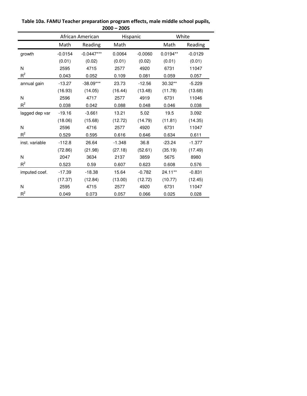|                | African American |              | Hispanic |           | White      |           |  |
|----------------|------------------|--------------|----------|-----------|------------|-----------|--|
|                | Math             | Reading      | Math     |           | Math       | Reading   |  |
| growth         | $-0.0154$        | $-0.0447***$ | 0.0064   | $-0.0060$ | $0.0194**$ | $-0.0129$ |  |
|                | (0.01)           | (0.02)       | (0.01)   | (0.02)    | (0.01)     | (0.01)    |  |
| N              | 2595             | 4715         | 2577     | 4920      | 6731       | 11047     |  |
| $R^2$          | 0.043            | 0.052        | 0.109    | 0.081     | 0.059      | 0.057     |  |
| annual gain    | $-13.27$         | $-38.09***$  | 23.73    | $-12.56$  | 30.32**    | $-5.229$  |  |
|                | (16.93)          | (14.05)      | (16.44)  | (13.48)   | (11.78)    | (13.68)   |  |
| N              | 2596             | 4717         | 2577     | 4919      | 6731       | 11046     |  |
| $R^2$          | 0.038            | 0.042        | 0.088    | 0.048     | 0.046      | 0.038     |  |
| lagged dep var | $-19.16$         | $-3.661$     | 13.21    | 5.02      | 19.5       | 3.092     |  |
|                | (18.06)          | (15.68)      | (12.72)  | (14.79)   | (11.81)    | (14.35)   |  |
| N              | 2596             | 4716         | 2577     | 4920      | 6731       | 11047     |  |
| $R^2$          | 0.529            | 0.595        | 0.616    | 0.646     | 0.634      | 0.611     |  |
| inst. variable | $-112.8$         | 26.64        | $-1.348$ | 36.8      | $-23.24$   | $-1.377$  |  |
|                | (72.86)          | (21.98)      | (27.18)  | (52.61)   | (35.19)    | (17.49)   |  |
| N              | 2047             | 3634         | 2137     | 3859      | 5675       | 8980      |  |
| $R^2$          | 0.523            | 0.59         | 0.607    | 0.623     | 0.608      | 0.576     |  |
| imputed coef.  | $-17.39$         | $-18.38$     | 15.64    | $-0.782$  | 24.11**    | $-0.831$  |  |
|                | (17.37)          | (12.84)      | (13.00)  | (12.72)   | (10.77)    | (12.45)   |  |
| N              | 2595             | 4715         | 2577     | 4920      | 6731       | 11047     |  |
| $R^2$          | 0.049            | 0.073        | 0.057    | 0.066     | 0.025      | 0.028     |  |

**Table 10a. FAMU Teacher preparation program effects, male middle school pupils, 2000 – 2005**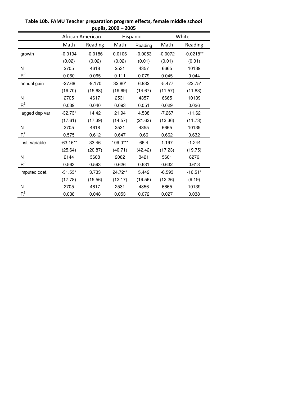|                | African American |           | Hispanic |           | White     |             |
|----------------|------------------|-----------|----------|-----------|-----------|-------------|
|                | Math             | Reading   | Math     | Reading   | Math      | Reading     |
| growth         | $-0.0194$        | $-0.0186$ | 0.0106   | $-0.0053$ | $-0.0072$ | $-0.0218**$ |
|                | (0.02)           | (0.02)    | (0.02)   | (0.01)    | (0.01)    | (0.01)      |
| N              | 2705             | 4618      | 2531     | 4357      | 6665      | 10139       |
| $R^2$          | 0.060            | 0.065     | 0.111    | 0.079     | 0.045     | 0.044       |
| annual gain    | $-27.68$         | $-9.170$  | 32.80*   | 6.832     | $-5.477$  | $-22.75*$   |
|                | (19.70)          | (15.68)   | (19.69)  | (14.67)   | (11.57)   | (11.83)     |
| N              | 2705             | 4617      | 2531     | 4357      | 6665      | 10139       |
| $R^2$          | 0.039            | 0.040     | 0.093    | 0.051     | 0.029     | 0.026       |
| lagged dep var | $-32.73*$        | 14.42     | 21.94    | 4.538     | $-7.267$  | $-11.62$    |
|                | (17.61)          | (17.39)   | (14.57)  | (21.63)   | (13.36)   | (11.73)     |
| N              | 2705             | 4618      | 2531     | 4355      | 6665      | 10139       |
| $R^2$          | 0.575            | 0.612     | 0.647    | 0.66      | 0.662     | 0.632       |
| inst. variable | $-63.16**$       | 33.46     | 109.0*** | 66.4      | 1.197     | $-1.244$    |
|                | (25.64)          | (20.87)   | (40.71)  | (42.42)   | (17.23)   | (19.75)     |
| N              | 2144             | 3608      | 2082     | 3421      | 5601      | 8276        |
| $R^2$          | 0.563            | 0.593     | 0.626    | 0.631     | 0.632     | 0.613       |
| imputed coef.  | $-31.53*$        | 3.733     | 24.72**  | 5.442     | $-6.593$  | $-16.51*$   |
|                | (17.78)          | (15.56)   | (12.17)  | (19.56)   | (12.26)   | (9.19)      |
| N              | 2705             | 4617      | 2531     | 4356      | 6665      | 10139       |
| $R^2$          | 0.038            | 0.048     | 0.053    | 0.072     | 0.027     | 0.038       |

**Table 10b. FAMU Teacher preparation program effects, female middle school pupils, 2000 – 2005**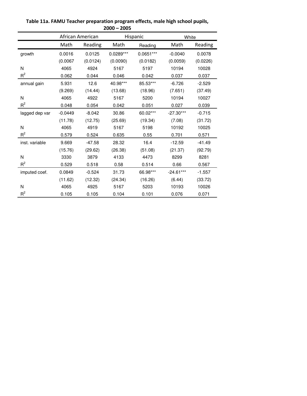|                | African American |          | Hispanic    |             | White       |          |  |  |
|----------------|------------------|----------|-------------|-------------|-------------|----------|--|--|
|                | Math             | Reading  | Math        | Reading     | Math        | Reading  |  |  |
| growth         | 0.0016           | 0.0125   | $0.0289***$ | $0.0651***$ | $-0.0040$   | 0.0078   |  |  |
|                | (0.0067)         | (0.0124) | (0.0090)    | (0.0182)    | (0.0059)    | (0.0226) |  |  |
| N              | 4065             | 4924     | 5167        | 5197        | 10194       | 10028    |  |  |
| $R^2$          | 0.062            | 0.044    | 0.046       | 0.042       | 0.037       | 0.037    |  |  |
| annual gain    | 5.931            | 12.6     | 40.98***    | 85.53***    | $-6.726$    | $-2.529$ |  |  |
|                | (9.269)          | (14.44)  | (13.68)     | (18.96)     | (7.651)     | (37.49)  |  |  |
| N              | 4065             | 4922     | 5167        | 5200        | 10194       | 10027    |  |  |
| $R^2$          | 0.048            | 0.054    | 0.042       | 0.051       | 0.027       | 0.039    |  |  |
| lagged dep var | $-0.0449$        | $-8.042$ | 30.86       | 60.02***    | $-27.30***$ | $-0.715$ |  |  |
|                | (11.78)          | (12.75)  | (25.69)     | (19.34)     | (7.08)      | (31.72)  |  |  |
| N              | 4065             | 4919     | 5167        | 5198        | 10192       | 10025    |  |  |
| $R^2$          | 0.579            | 0.524    | 0.635       | 0.55        | 0.701       | 0.571    |  |  |
| inst. variable | 9.669            | $-47.58$ | 28.32       | 16.4        | $-12.59$    | $-41.49$ |  |  |
|                | (15.76)          | (29.62)  | (26.38)     | (51.08)     | (21.37)     | (92.79)  |  |  |
| N              | 3330             | 3879     | 4133        | 4473        | 8299        | 8281     |  |  |
| $R^2$          | 0.529            | 0.518    | 0.58        | 0.514       | 0.66        | 0.567    |  |  |
| imputed coef.  | 0.0849           | $-0.524$ | 31.73       | 66.98***    | $-24.61***$ | $-1.557$ |  |  |
|                | (11.62)          | (12.32)  | (24.34)     | (16.26)     | (6.44)      | (33.72)  |  |  |
| N              | 4065             | 4925     | 5167        | 5203        | 10193       | 10026    |  |  |
| $R^2$          | 0.105            | 0.105    | 0.104       | 0.101       | 0.076       | 0.071    |  |  |

**Table 11a. FAMU Teacher preparation program effects, male high school pupils, 2000 – 2005**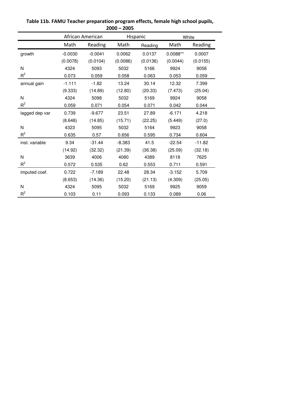|                | African American |           | Hispanic |          | White      |          |
|----------------|------------------|-----------|----------|----------|------------|----------|
|                | Math             | Reading   | Math     | Reading  | Math       | Reading  |
| growth         | $-0.0030$        | $-0.0041$ | 0.0062   | 0.0137   | $0.0088**$ | 0.0007   |
|                | (0.0078)         | (0.0104)  | (0.0086) | (0.0136) | (0.0044)   | (0.0155) |
| N              | 4324             | 5093      | 5032     | 5166     | 9924       | 9058     |
| $R^2$          | 0.073            | 0.059     | 0.058    | 0.063    | 0.053      | 0.059    |
| annual gain    | $-1.111$         | $-1.82$   | 13.24    | 30.14    | 12.32      | 7.399    |
|                | (9.333)          | (14.89)   | (12.80)  | (20.33)  | (7.473)    | (25.04)  |
| N              | 4324             | 5098      | 5032     | 5169     | 9924       | 9058     |
| $R^2$          | 0.059            | 0.071     | 0.054    | 0.071    | 0.042      | 0.044    |
| lagged dep var | 0.739            | $-9.677$  | 23.51    | 27.89    | $-6.171$   | 4.218    |
|                | (8.648)          | (14.85)   | (15.71)  | (22.25)  | (5.449)    | (27.0)   |
| N              | 4323             | 5095      | 5032     | 5164     | 9923       | 9058     |
| $R^2$          | 0.635            | 0.57      | 0.656    | 0.595    | 0.734      | 0.604    |
| inst. variable | 9.34             | $-31.44$  | $-8.383$ | 41.5     | $-22.54$   | $-11.82$ |
|                | (14.92)          | (32.32)   | (21.39)  | (36.38)  | (25.09)    | (32.18)  |
| N              | 3639             | 4006      | 4080     | 4389     | 8118       | 7625     |
| $R^2$          | 0.572            | 0.535     | 0.62     | 0.553    | 0.711      | 0.591    |
| imputed coef.  | 0.722            | $-7.189$  | 22.48    | 28.34    | $-3.152$   | 5.709    |
|                | (8.653)          | (14.36)   | (15.20)  | (21.13)  | (4.309)    | (25.05)  |
| N              | 4324             | 5095      | 5032     | 5169     | 9925       | 9059     |
| $R^2$          | 0.103            | 0.11      | 0.093    | 0.133    | 0.089      | 0.06     |

**Table 11b. FAMU Teacher preparation program effects, female high school pupils, 2000 – 2005**